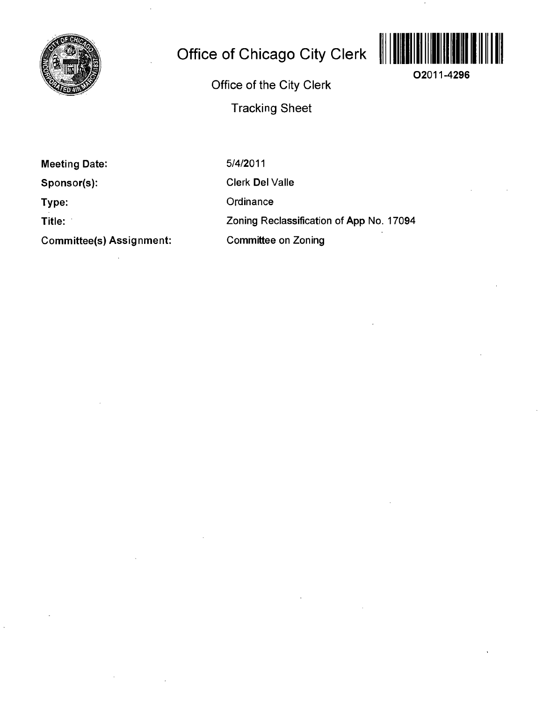

# **Office of Chicago City Clerk**

**02011-4296** 

**Office of the City Clerk Tracking Sheet** 

**Meeting Date:** 

**Sponsor(s):** 

**Type:** 

**Title:** 

**Committee(s) Assignment:** 

5/4/2011

Clerk Del Valle

**Ordinance** 

Zoning Reclassification of App No. 17094

Committee on Zoning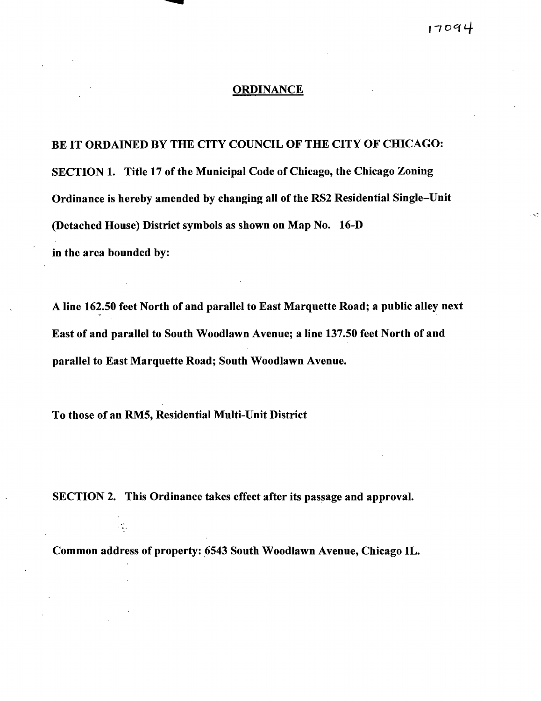### $17094$

#### **ORDINANCE**

**BE IT ORDAINED BY THE CITY COUNCIL OF THE CITY OF CHICAGO: SECTION 1. Title 17 of the Municipal Code of Chicago, the Chicago Zoning Ordinance is hereby amended by changing all of the RS2 Residential Single-Unit (Detached House) District symbols as shown on Map No. 16-D in the area bounded by:** 

**A line 162.50 feet North of and parallel to East Marquette Road; a public alley next East of and parallel to South Woodlawn Avenue; a line 137.50 feet North of and parallel to East Marquette Road; South Woodlawn Avenue.** 

**To those of an RMS, Residential Multi-Unit District** 

 $\mathcal{L}_{\mathbf{a},i}^{\mathbf{a}}$ 

**SECTION 2. This Ordinance takes effect after its passage and approval.** 

**Common address of property: 6543 South Woodlawn Avenue, Chicago IL.**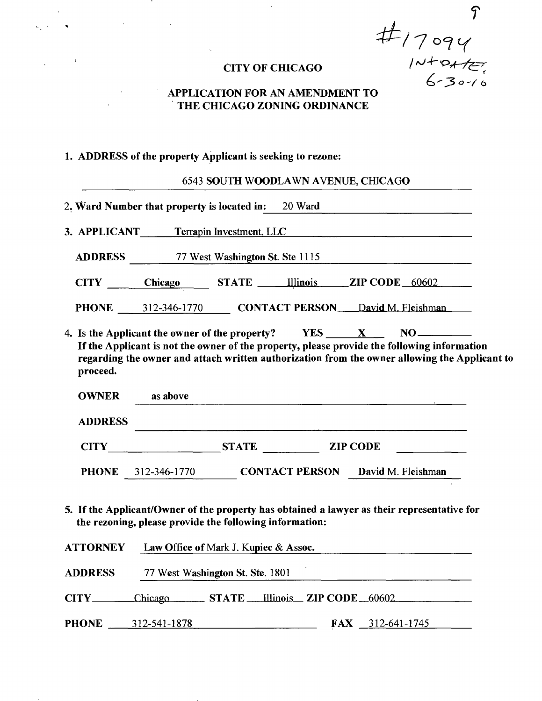**f CITY OF CHICAGO**  $\sqrt{2\pi}$   $\sqrt{2\pi}$ 

### **APPLICATION FOR AN AMENDMENT TO THE CHICAGO ZONING ORDINANCE**

# **1. ADDRESS of the property Applicant is seeking to rezone:**

 $\mathcal{L}^{\mathcal{L}}$  and  $\mathcal{L}^{\mathcal{L}}$  are the set of the set of  $\mathcal{L}^{\mathcal{L}}$ 

|                          | 2. Ward Number that property is located in: 20 Ward                                                                                                                                                                            |  |  |
|--------------------------|--------------------------------------------------------------------------------------------------------------------------------------------------------------------------------------------------------------------------------|--|--|
|                          | 3. APPLICANT Terrapin Investment, LLC                                                                                                                                                                                          |  |  |
|                          | ADDRESS 77 West Washington St. Ste 1115                                                                                                                                                                                        |  |  |
|                          | CITY Chicago STATE Illinois ZIP CODE 60602                                                                                                                                                                                     |  |  |
|                          |                                                                                                                                                                                                                                |  |  |
|                          | PHONE __ 312-346-1770 CONTACT PERSON __ David M. Fleishman<br>4. Is the Applicant the owner of the property? $YES$ $X$ $NO$ $N$<br>If the Applicant is not the owner of the property, please provide the following information |  |  |
| proceed.<br><b>OWNER</b> | regarding the owner and attach written authorization from the owner allowing the Applicant to<br>as above                                                                                                                      |  |  |
| <b>ADDRESS</b>           |                                                                                                                                                                                                                                |  |  |
|                          | CITY STATE ZIP CODE                                                                                                                                                                                                            |  |  |

CITY Chicago STATE Illinois ZIP CODE 60602

ADDRESS 77 West Washington St. Ste. 1801

PHONE 312-541-1878 FAX 312-641-1745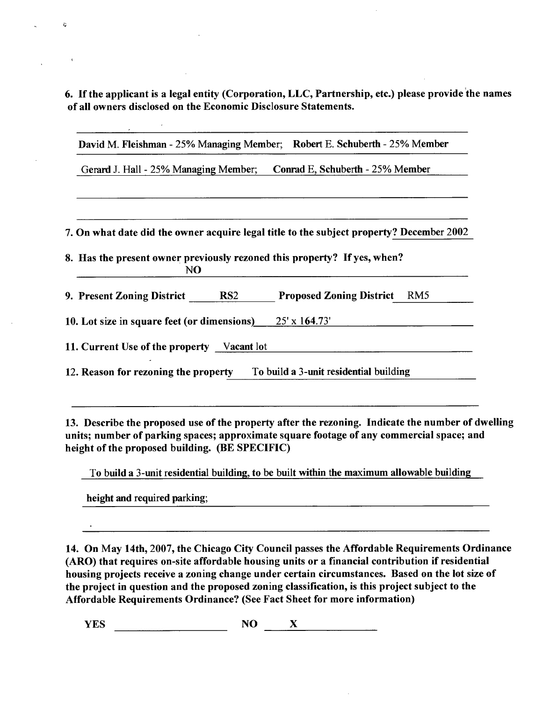6. If the applicant is a legal entity (Corporation, LLC, Partnership, etc.) please provide the names **of all owners disclosed on the Economic Disclosure Statements.** 

David M. Fleishman - 25% Managing Member; Robert E. Schuberth - 25% Member

Gerard J. Hall - 25% Managing Member; Conrad E, Schuberth - 25% Member

7. On what date did the owner acquire legal title to the subject property? December 2002

**8. Has the present owner previously rezoned this property? If yes, when?**  NO **J^O** 

9. Present Zoning District RS2 Proposed Zoning District RM5

 $\overline{1}$ 

11. Current Use of the property Vacant lot

 $\mathfrak{D}$ 

12. Reason for rezoning the property To build a 3-unit residential building

**13. Describe the proposed use of the property after the rezoning. Indicate the number of dwelling units; number of parking spaces; approximate square footage of any commercial space; and**  height of the proposed building. (BE SPECIFIC)

To build a 3-unit residential building, to be built within the maximum allowable building

height and required parking;

**14. On May 14th, 2007, the Chicago City Council passes the Affordable Requirements Ordinance (ARO) that requires on-site affordable housing units or a financial contribution if residential housing projects receive a zoning change under certain circumstances. Based on the lot size of the project in question and the proposed zoning classification, is this project subject to the Affordable Requirements Ordinance? (See Fact Sheet for more information)** 

**YES NO X**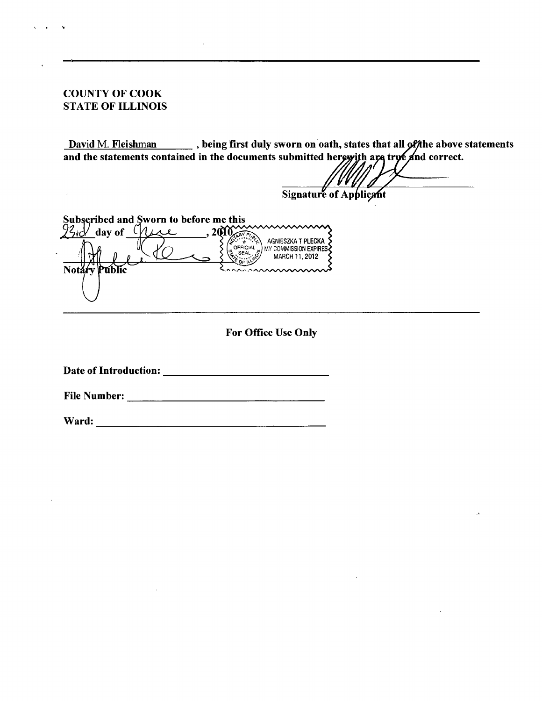#### **COUNTY OF COOK STATE OF ILLINOIS**

 $\ddot{\phantom{a}}$ 

**David M. Fleishman , being first duly sworn on oath, states that**  and the statements contained in the documents submitted hergyith are **he above statements nd correct.** 

**Signature** of Applicant

**Subscribed and Sworn to before me this**   $23\omega$  day of <u>Yuze</u>, 20 AGNIESZKA T PLECKA OFFICIAL MY COMMISSION EXPIRES SEAL **MARCH 11, 2012 Not** 

**For Office Use Only** 

**Date of Introduction:** 

**File Number:** 

**Ward:**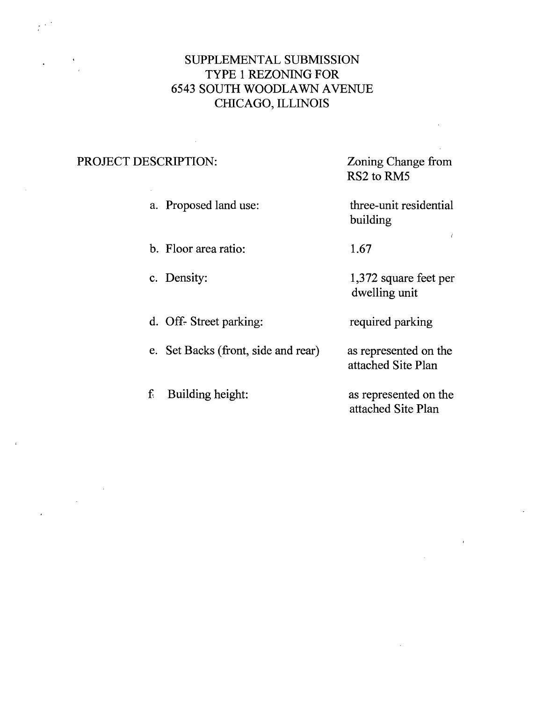# SUPPLEMENTAL SUBMISSION TYPE 1 REZONING FOR 6543 SOUTH WOODLAWN AVENUE CHICAGO, ILLINOIS

# PROJECT DESCRIPTION:

 $\ddot{\phantom{0}}$ 

Zoning Change from RS2 to RM5

a. Proposed land use:

three-unit residential building

1,372 square feet per

dwelling unit

required parking

as represented on the attached Site Plan

*<* 

- b. Floor area ratio: 1.67
- c. Density:
- d. Off- Street parking:
- e. Set Backs (front, side and rear)

f Building height: as represented on the attached Site Plan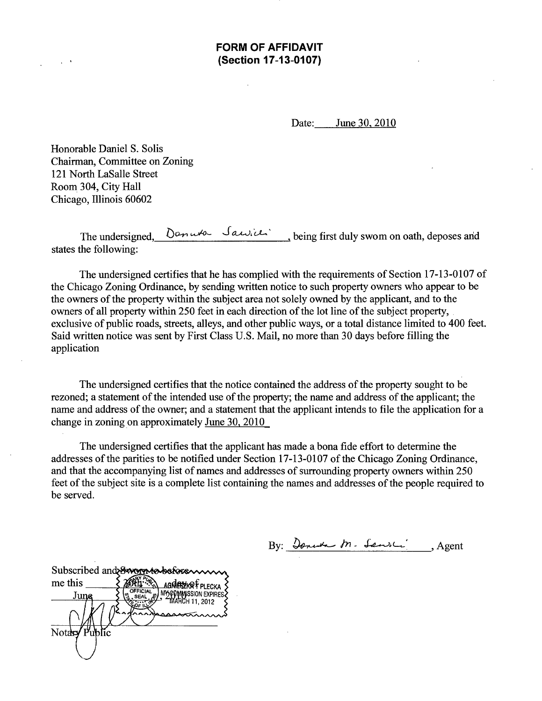**FORM OF AFFIDAVIT (Section 17-13-0107)** 

Date: June 30. 2010

Honorable Daniel S. Solis Chairman, Committee on Zoning 121 North LaSalle Street Room 304, City Hall Chicago, Illinois 60602

The undersigned,  $D$  and  $\mathcal{S}$  and  $\mathcal{S}$  being first duly swom on oath, deposes and states the following:

The undersigned certifies that he has complied with the requirements of Section 17-13-0107 of the Chicago Zoning Ordinance, by sending written notice to such property owners who appear to be the owners of the property within the subject area not solely owned by the applicant, and to the owners of all property within 250 feet in each direction of the lot line of the subject property, exclusive of public roads, streets, alleys, and other public ways, or a total distance limited to 400 feet. Said written notice was sent by First Class U.S. Mail, no more than 30 days before filling the application

The undersigned certifies that the notice contained the address of the property sought to be rezoned; a statement of the intended use of the property; the name and address of the applicant; the name and address of the owner; and a statement that the applicant intends to file the application for a change in zoning on approximately June 30, 2010

The undersigned certifies that the applicant has made a bona fide effort to determine the addresses of the parities to be notified under Section 17-13-0107 of the Chicago Zoning Ordinance, and that the accompanying list of names and addresses of surrounding property owners within 250 feet of the subject site is a complete list containing the names and addresses of the people required to be served.

By: *Journ M. Sault*, Agent

Subscribed and Subserve before me this **AGNESZKRÉPLECKA** MY COMMISSION EXPIRE OFFICIAL **June** Notary Public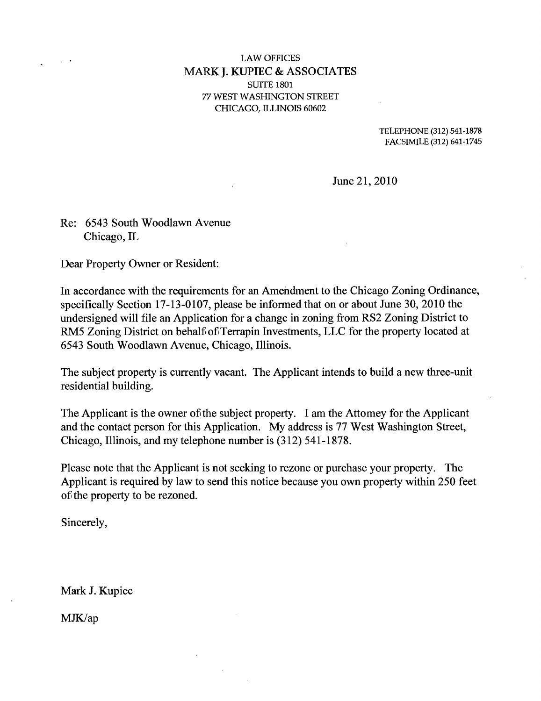#### **LAW OFFICES MARK J. KUPIEC & ASSOCIATES**  SUITE 1801 77 WEST WASHINGTON STREET CHICAGO, ILLINOIS 60602

TELEPHONE (312) 541-1878 FACSIMILE (312) 641-1745

June 21, 2010

# Re: 6543 South Woodlawn Avenue Chicago, IL

Dear Property Owner or Resident:

In accordance with the requirements for an Amendment to the Chicago Zoning Ordinance, specifically Section 17-13-0107, please be informed that on or about June 30, 2010 the undersigned will file an Application for a change in zoning from RS2 Zoning District to RM5 Zoning District on behalf of Terrapin Investments, LLC for the property located at 6543 South Woodlawn Avenue, Chicago, Illinois.

The subject property is currently vacant. The Applicant intends to build a new three-unit residential building.

The Applicant is the owner of the subject property. I am the Attomey for the Applicant and the contact person for this Application. My address is 77 West Washington Street, Chicago, Illinois, and my telephone number is (312) 541-1878.

Please note that the Applicant is not seeking to rezone or purchase your property. The Applicant is required by law to send this notice because you own property within 250 feet of the property to be rezoned.

Sincerely,

Mark J. Kupiec

MJK/ap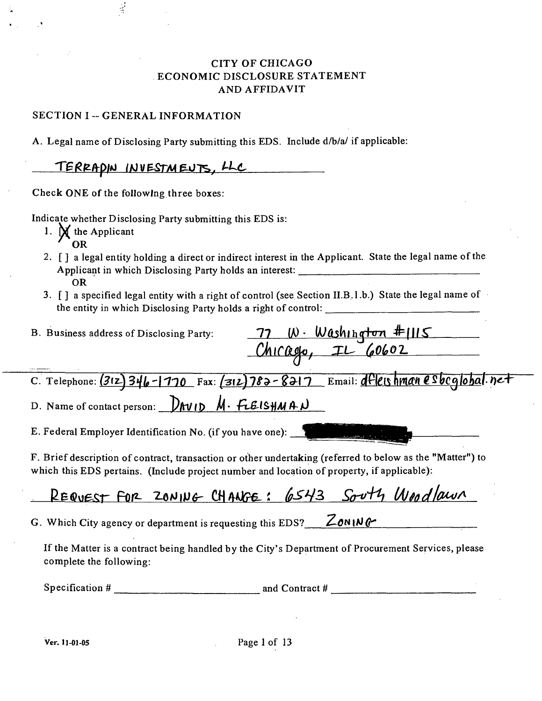# CITY OF CHICAGO ECONOMIC DISCLOSURE STATEMENT AND AFFIDAVIT

#### SECTION I -- GENERAL INFORMATION

 $\frac{1}{2}$ 

A. Legal name of Disclosing Party submitting this EDS. Include d/b/a/ if applicable:

# TERRADIN INVESTMENTS, LLC

Check ONE of the following three boxes.

Indicate whether Disclosing Party submitting this EDS is:

- 1.  $\mathbf{M}$  the Applicant
	- ^ OR
- 2. [ ] a legal entity holding a direct or indirect interest in the Applicant. State the legal name of the Applicant in which Disclosing Party holds an interest: OR
- 3. [] a specified legal entity with a right of control (see Section II.B.l.b.) State the legal name of the entity in which Disclosing Party holds a right of control:

| B. Business address of Disclosing Party:                                                                                                                                                                |
|---------------------------------------------------------------------------------------------------------------------------------------------------------------------------------------------------------|
| <u>77 W. Washington #1115</u><br>Chicago, IL 60602                                                                                                                                                      |
|                                                                                                                                                                                                         |
| C. Telephone: $(312)$ 346-1770 Fax: $(312)$ 782-8217 Email: dfleis hman esbeglobal. net                                                                                                                 |
| D. Name of contact person: $D_{\text{AVID}} M \cdot F \cdot L B \cdot S \cdot M A \cdot D$                                                                                                              |
| E. Federal Employer Identification No. (if you have one):                                                                                                                                               |
| F. Brief description of contract, transaction or other undertaking (referred to below as the "Matter") to<br>which this EDS pertains. (Include project number and location of property, if applicable): |
|                                                                                                                                                                                                         |

REQUEST FOR ZONING CHANGE: 6543 South Woodlawn

G. Which City agency or department is requesting this EDS? \_\_ ZONING

If the Matter is a contract being handled by the City's Department of Procurement Services, please complete the following:

Specification  $\#$  and Contract  $\#$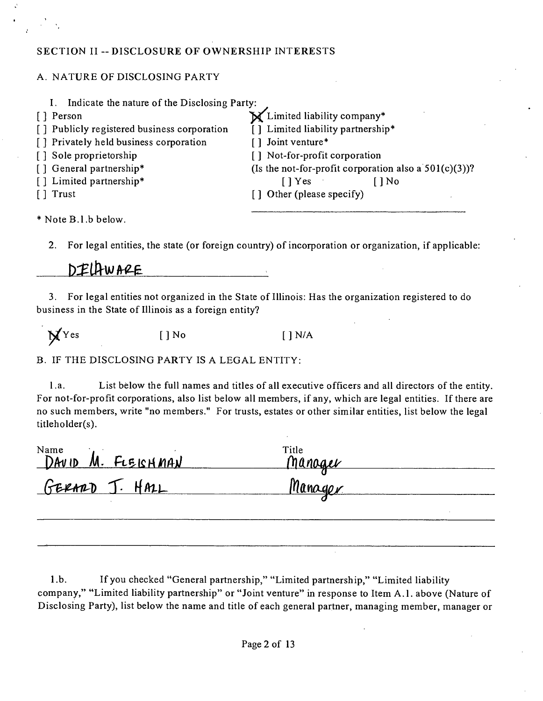### SECTION II -- DISCLOSURE OF OWNERSHIP INTERESTS

### A. NATURE OF DISCLOSING PARTY

| Indicate the nature of the Disclosing Party: |                                                           |
|----------------------------------------------|-----------------------------------------------------------|
| [ ] Person                                   | X Limited liability company*                              |
| [] Publicly registered business corporation  | [] Limited liability partnership*                         |
| [] Privately held business corporation       | [] Joint venture*                                         |
| [] Sole proprietorship                       | [] Not-for-profit corporation                             |
| [] General partnership*                      | (Is the not-for-profit corporation also a $501(c)(3)$ )?  |
| [] Limited partnership*                      | $\lceil \cdot \rceil$ Yes $\lceil \cdot \rceil$<br>[ ] No |
| [ ] Trust                                    | [] Other (please specify)                                 |
| * Note B.1.b below.                          |                                                           |

2. For legal entities, the state (or foreign country) of incorporation or organization, if applicable:

# DELAWARE

3. For legal entities not organized in the State of Illinois: Has the organization registered to do business in the State of Illinois as a foreign entity?

 $N<sup>Y</sup>$ es [ ] No [ ] N/A

B. IF THE DISCLOSING PARTY IS A LEGAL ENTITY:

l.a. List below the full names and titles of all executive officers and all directors of the entity. For not-for-profit corporations, also list below all members, if any, which are legal entities. If there are no such members, write "no members." For trusts, estates or other similar entities, list below the legal titleholder(s).

| Name<br>DAVID M. FLEISHMAN | Title<br>Manager |  |
|----------------------------|------------------|--|
| GERARD J. HALL             | Manager          |  |
|                            |                  |  |

1 .b. Ifyou checked "General partnership," "Limited partnership," "Limited liability company," "Limited liability partnership" or "Joint venture" in response to Item A.l . above (Nature of Disclosing Party), list below the name and title of each general partner, managing member, manager or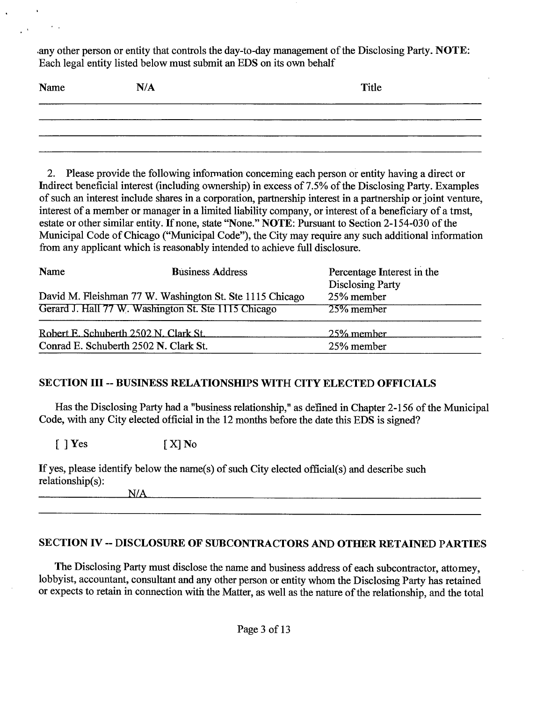any other person or entity that controls the day-to-day management of the Disclosing Party. NOTE: Each legal entity listed below must submit an EDS on its own behalf

| Name | N/A | Title |
|------|-----|-------|
|      |     |       |
|      |     |       |
|      |     |       |

2. Please provide the following information conceming each person or entity having a direct or Indirect beneficial interest (including ownership) in excess of 7.5% of the Disclosing Party. Examples of such an interest include shares in a corporation, partnership interest in a partnership or joint venture, interest of a member or manager in a limited liability company, or interest of a beneficiary of a tmst, estate or other similar entity. If none, state "None." NOTE: Pursuant to Section 2-154-030 of the Municipal Code of Chicago ("Municipal Code"), the City may require any such additional information from any applicant which is reasonably intended to achieve full disclosure.

| Name                                  | <b>Business Address</b>                                  | Percentage Interest in the<br><b>Disclosing Party</b> |  |
|---------------------------------------|----------------------------------------------------------|-------------------------------------------------------|--|
|                                       | David M. Fleishman 77 W. Washington St. Ste 1115 Chicago | 25% member                                            |  |
|                                       | Gerard J. Hall 77 W. Washington St. Ste 1115 Chicago     | 25% member                                            |  |
| Robert E. Schuberth 2502 N. Clark St. |                                                          | 25% member                                            |  |
| Conrad E. Schuberth 2502 N. Clark St. |                                                          | 25% member                                            |  |

# **SECTION III -- BUSINESS RELATIONSfflPS WITH CITY ELECTED OFFICIALS**

Has the Disclosing Party had a "business relationship," as defined in Chapter 2-156 of the Municipal Code, with any City elected official in the 12 months before the date this EDS is signed?

 $\begin{bmatrix} \end{bmatrix}$  Yes  $\begin{bmatrix} X \end{bmatrix}$  No

| If yes, please identify below the name(s) of such City elected official(s) and describe such |  |
|----------------------------------------------------------------------------------------------|--|
| relationship(s):                                                                             |  |
|                                                                                              |  |

# **SECTION IV ~ DISCLOSURE OF SUBCONTRACTORS AND OTHER RETAINED PARTIES**

The Disclosing Party must disclose the name and business address of each subcontractor, attomey, lobbyist, accountant, consultant and any other person or entity whom the Disclosmg Party has retained or expects to retain in connection with the Matter, as well as the nature of the relationship, and the total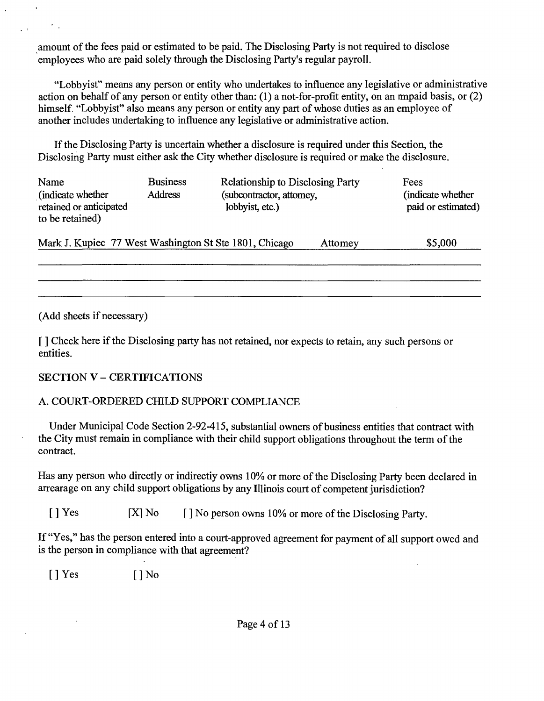amount of the fees paid or estimated to be paid. The Disclosing Party is not required to disclose employees who are paid solely through the Disclosing Party's regular payroll.

"Lobbyist" means any person or entity who undertakes to influence any legislative or administrative action on behalf of any person or entity other than: (1) a not-for-profit entity, on an rmpaid basis, or (2) himself. "Lobbyist" also means any person or entity any part of whose duties as an employee of another includes undertaking to influence any legislative or administrative action.

If the Disclosing Party is uncertain whether a disclosure is required under this Section, the Disclosing Party must either ask the City whether disclosure is required or make the disclosure.

| Name<br>(indicate whether)<br>retained or anticipated<br>to be retained) | <b>Business</b><br><b>Address</b> | <b>Relationship to Disclosing Party</b><br>(subcontractor, attomey,<br>lobbyist, etc.) |         | Fees<br>indicate whether<br>paid or estimated) |
|--------------------------------------------------------------------------|-----------------------------------|----------------------------------------------------------------------------------------|---------|------------------------------------------------|
| Mark J. Kupiec 77 West Washington St Ste 1801, Chicago                   |                                   |                                                                                        | Attomey | \$5,000                                        |
|                                                                          |                                   |                                                                                        |         |                                                |

(Add sheets if necessary)

 $\sim$ 

1 ] Check here if the Disclosing party has not retained, nor expects to retain, any such persons or entities.

# **SECTION V - CERTIFICATIONS**

# A. COURT-ORDERED CHILD SUPPORT COMPLIANCE

Under Municipal Code Section 2-92-415, substantial owners of business entities that contract with the City must remain in compliance with their child support obligations throughout the term of the contract.

Has any person who directly or indirectiy owns 10% or more of the Disclosing Party been declared in arrearage on any child support obligations by any Illinois court of competent jurisdiction?

[ ] Yes [X] No [ ] No person owns 10% or more of the Disclosing Party.

If "Yes," has the person entered into a court-approved agreement for payment of all support owed and is the person in compliance with that agreement?

[ ] Yes [ ] No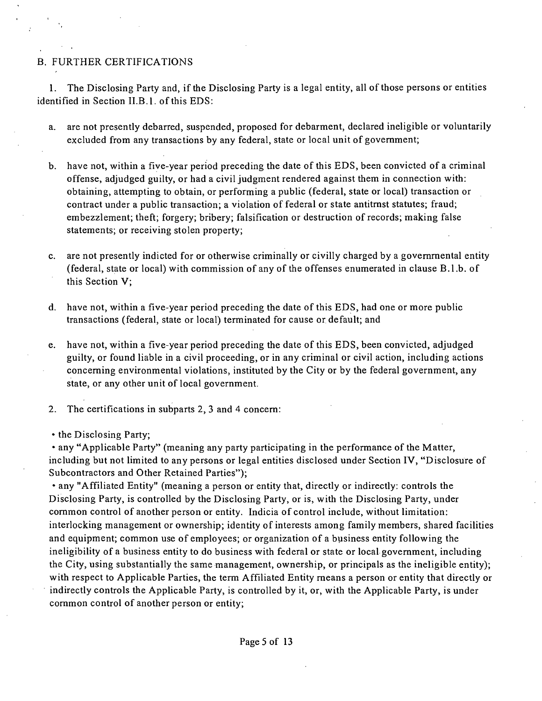#### B. FURTHER CERTIFICATIONS

1. The Disclosing Party and, if the Disclosing Party is a legal entity, all of those persons or entities identified in Section II.B.l. of this EDS:

- a. are not presently debarred, suspended, proposed for debarment, declared ineligible or voluntarily excluded from any transactions by any federal, state or local unit of govemment;
- b. have not, within a five-year period preceding the date of this EDS, been convicted of a criminal offense, adjudged guilty, or had a civil judgment rendered against them in connection with: obtaining, attempting to obtain, or performing a public (federal, state or local) transaction or contract under a public transaction; a violation of federal or state antitmst statutes; fraud; embezzlement; theft; forgery; bribery; falsification or destruction of records; making false statements; or receiving stolen property;
- c. are not presently indicted for or otherwise criminally or civilly charged by a govemmental entity (federal, state or local) with commission of any of the offenses enumerated in clause B.1.b. of this Section V;
- d. have not, within a five-year period preceding the date of this EDS, had one or more public transactions (federal, state or local) terminated for cause or default; and
- e. have not, within a five-year period preceding the date of this EDS, been convicted, adjudged guilty, or found liable in a civil proceeding, or in any criminal or civil action, including actions conceming environmental violations, instituted by the City or by the federal government, any state, or any other unit of local government.
- 2. The certifications in subparts 2, 3 and 4 concem:
- the Disclosing Party;

• any "Applicable Party" (meaning any party participating in the performance of the Matter, including but not limited to any persons or legal entities disclosed under Section IV, "Disclosure of Subcontractors and Other Retained Parties");

• any "Affiliated Entity" (meaning a person or entity that, directly or indirectly: controls the Disclosing Party, is controlled by the Disclosing Party, or is, with the Disclosing Party, under common control of another person or entity. Indicia of control include, without limitation: interlocking management or ownership; identity of interests among family members, shared facilities and equipment; common use of employees; or organization of a business entity following the ineligibility of a business entity to do business with federal or state or local govemment, including the City, using substantially the same management, ownership, or principals as the ineligible entity); with respect to Applicable Parties, the term Affiliated Entity means a person or entity that directly or indirectly controls the Applicable Party, is controlled by it, or, with the Applicable Party, is under common control of another person or entity;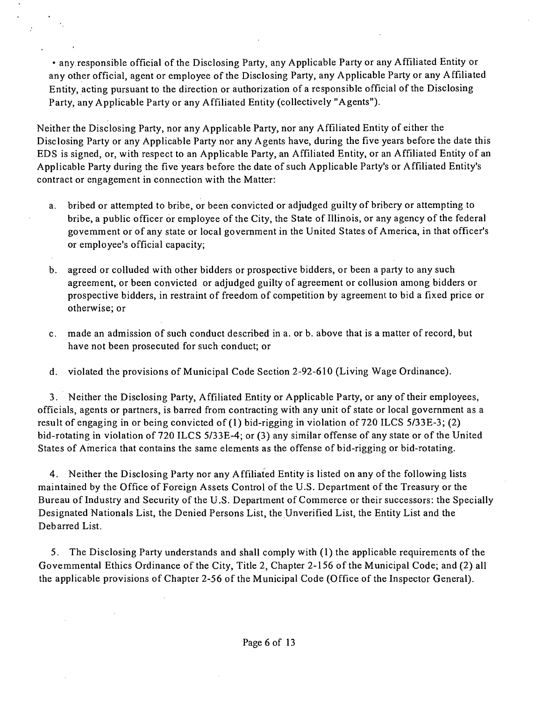• any responsible official of the Disclosing Party, any Applicable Party or any Affiliated Entity or any other official, agent or employee of the Disclosing Party, any Applicable Party or any Affiliated Entity, acting pursuant to the direction or authorization of a responsible official of the Disclosing Party, any Applicable Party or any Affiliated Entity (collectively "Agents").

Neither the Disclosing Party, nor any Applicable Party, nor any Affiliated Entity of either the Disclosing Party or any Applicable Party nor any Agents have, during the five years before the date this EDS is signed, or, with respect to an Applicable Party, an Affiliated Entity, or an Affiliated Entity of an Applicable Party during the five years before the date of such Applicable Party's or Affiliated Entity's contract or engagement in connection with the Matter:

- a. bribed or attempted to bribe, or been convicted or adjudged guilty of bribery or attempting to bribe, a public officer or employee of the City, the State of Illinois, or any agency of the federal govemment or of any state or local government in the United States of America, in that officer's or employee's official capacity;
- b. agreed or colluded with other bidders or prospective bidders, or been a party to any such agreement, or been convicted or adjudged guilty of agreement or collusion among bidders or prospective bidders, in restraint of freedom of competition by agreement to bid a fixed price or otherwise; or
- c. made an admission of such conduct described in a. or b. above that is a matter of record, but have not been prosecuted for such conduct; or
- d. violated the provisions of Municipal Code Section 2-92-610 (Living Wage Ordinance).

3. Neither the Disclosing Party, Affiliated Entity or Applicable Party, or any of their employees, officials, agents or partners, is barred from contracting with any unit of state or local government as a result of engaging in or being convicted of (1) bid-rigging in violation of 720 ILCS 5/33E-3; (2) bid-rotating in violation of 720 ILCS 5/33E-4; or (3) any similar offense of any state or of the United States of America that contains the same elements as the offense of bid-rigging or bid-rotating.

4. Neither the Disclosing Party nor any Affiliated Entity is listed on any of the following lists maintained by the Office of Foreign Assets Control of the U.S. Department of the Treasury or the Bureau of Industry and Security of the U.S. Department of Commerce or their successors: the Specially Designated Nationals List, the Denied Persons List, the Unverified List, the Entity List and the Debarred List.

5. The Disclosing Party understands and shall comply with (1) the applicable requirements of the Govemmental Ethics Ordinance of the City, Title 2, Chapter 2-156 of the Municipal Code; and (2) all the applicable provisions of Chapter 2-56 of the Municipal Code (Office of the Inspector General).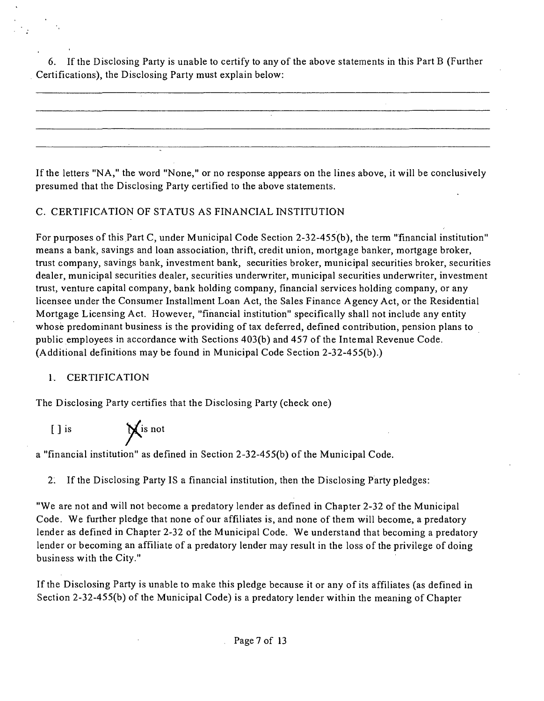6. If the Disclosing Party is unable to certify to any of the above statements in this Part B (Further Certifications), the Disclosing Party must explain below:

If the letters "NA, " the word "None," or no response appears on the lines above, it will be conclusively presumed that the Disclosing Party certified to the above statements.

# C. CERTIFICATION OF STATUS AS FINANCIAL INSTITUTION

For purposes of this Part C, under Municipal Code Section 2-32-455(b), the term "financial institution" means a bank, savings and loan association, thrift, credit union, mortgage banker, mortgage broker, tmst company, savings bank, investment bank, securities broker, municipal securities broker, securities dealer, municipal securities dealer, securities underwriter, municipal securities underwriter, investment tmst, venture capital company, bank holding company, financial services holding company, or any licensee under the Consumer Installment Loan Act, the Sales Finance Agency Act, or the Residential Mortgage Licensing Act. However, "financial institution" specifically shall not include any entity whose predominant business is the providing of tax deferred, defined contribution, pension plans to public employees in accordance with Sections 403(b) and 457 of the Intemal Revenue Code. (Additional definitions may be found in Municipal Code Section 2-32-455(b).)

# 1. CERTIFICATION

The Disclosing Party certifies that the Disclosing Party (check one)

[ ] is  $\bigvee$  is not

a "financial institution" as defined in Section 2-32-455(b) ofthe Municipal Code.

2: If the Disclosing Party IS a financial institution, then the Disclosing Party pledges:

"We are not and will not become a predatory lender as defined in Chapter 2-32 of the Municipal Code. We further pledge that none of our affiliates is, and none of them will become, a predatory lender as defined in Chapter 2-32 of the Municipal Code. We understand that becoming a predatory lender or becoming an affiliate of a predatory lender may result in the loss of the privilege of doing business with the City."

If the Disclosing Party is unable to make this pledge because it or any of its affiliates (as defined in Section 2-32-455(b) of the Municipal Code) is a predatory lender within the meaning of Chapter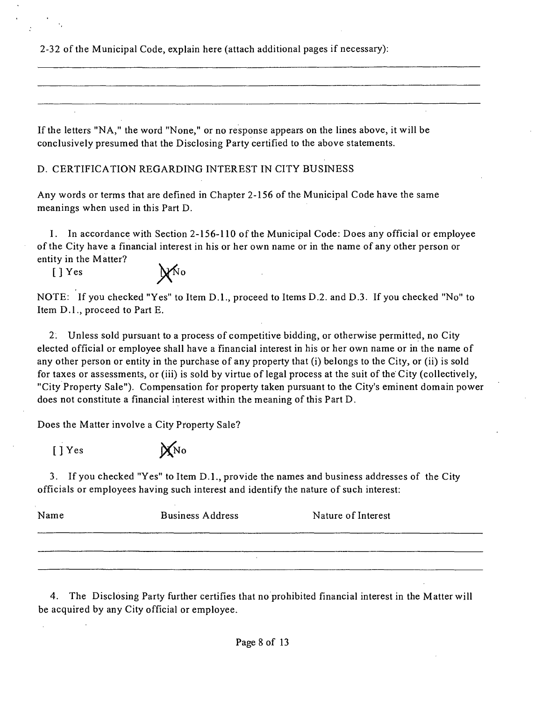2-32 of the Municipal Code, explain here (attach additional pages if necessary):

If the letters "NA, " the word "None," or no response appears on the lines above, it will be conclusively presumed that the Disclosing Party certified to the above statements.

D. CERTIFICATION REGARDING INTEREST IN CITY BUSINESS

Any words or terms that are defined in Chapter 2-156 of the Municipal Code have the same meanings when used in this Part D.

I. In accordance with Section 2-156-110 of the Municipal Code: Does any official or employee of the City have a financial interest in his or her own name or in the name of any other person or entity in the Matter?

 $[]$  Yes  $\mathcal{N}^{\text{No}}$ 

NOTE: If you checked "Yes" to Item D.L, proceed to Items D.2. and D.3. If you checked "No" to Item D.l. , proceed to Part E.

2: Unless sold pursuant to a process of competitive bidding, or otherwise permitted, no City elected official or employee shall have a financial interest in his or her own name or in the name of any other person or entity in the purchase of any property that (i) belongs to the City, or (ii) is sold for taxes or assessments, or (iii) is sold by virtue of legal process at the suit of the City (collectively, "City Property Sale"). Compensation for property taken pursuant to the City's eminent domain power does not constitute a financial interest within the meaning of this Part D.

Does the Matter involve a City Property Sale?

*[]Yes pi^o* 

3. If you checked "Yes" to Item D.L , provide the names and business addresses of the City officials or employees having such interest and identify the nature of such interest:

| Name | <b>Business Address</b> | Nature of Interest |
|------|-------------------------|--------------------|
|      |                         |                    |
|      |                         |                    |

4. The Disclosing Party further certifies that no prohibited financial interest in the Matter will be acquired by any City official or employee.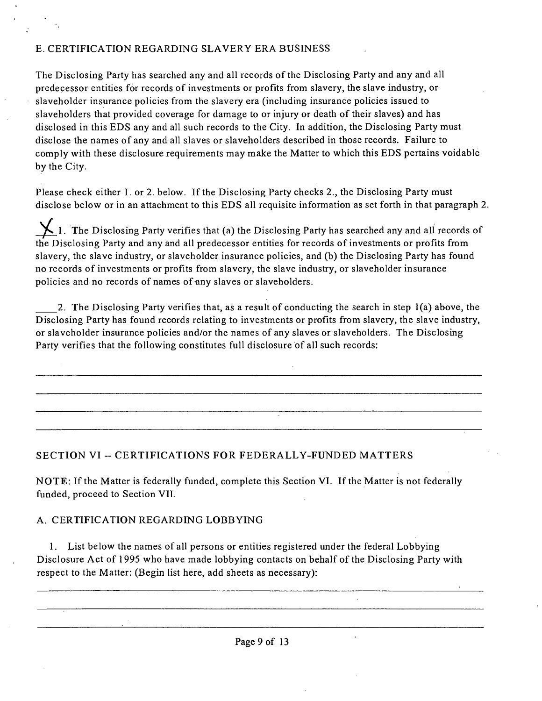# E. CERTIFICATION REGARDING SLAVERY ERA BUSINESS

The Disclosing Party has searched any and all records of the Disclosing Party and any and all predecessor entities for records of investments or profits from slavery, the slave industry, or slaveholder insurance policies from the slavery era (including insurance policies issued to slaveholders that provided coverage for damage to or injury or death of their slaves) and has disclosed in this EDS any and all such records to the City. In addition, the Disclosing Party must disclose the names of any and all slaves or slaveholders described in those records. Failure to comply with these disclosure requirements may make the Matter to which this EDS pertains voidable by the City.

Please check either I. or 2. below. If the Disclosing Party checks 2., the Disclosing Party must disclose below or in an attachment to this EDS all requisite information as set forth in that paragraph 2.

 $\sum$ 1. The Disclosing Party verifies that (a) the Disclosing Party has searched any and all records of the Disclosing Party and any and all predecessor entities for records of investments or profits from slavery, the slave industry, or slaveholder insurance policies, and (b) the Disclosing Party has found no records of investments or profits from slavery, the slave industry, or slaveholder insurance policies and no records of names of any slaves or slaveholders.

2. The Disclosing Party verifies that, as a result of conducting the search in step 1(a) above, the Disclosing Party has found records relating to investments or profits from slavery, the slave industry, or slaveholder insurance policies and/or the names of any slaves or slaveholders. The Disclosing Party verifies that the following constitutes full disclosure of all such records:

# **SECTION VI ~ CERTIFICATIONS FOR FEDERALLY-FUNDED MATTERS**

NOTE: If the Matter is federally funded, complete this Section VI. If the Matter is not federally funded, proceed to Section VII.

# A. CERTIFICATION REGARDING LOBBYING

1. List below the names of all persons or entities registered under the federal Lobbying Disclosure Act of 1995 who have made lobbying contacts on behalf of the Disclosing Party with respect to the Matter: (Begin list here, add sheets as necessary):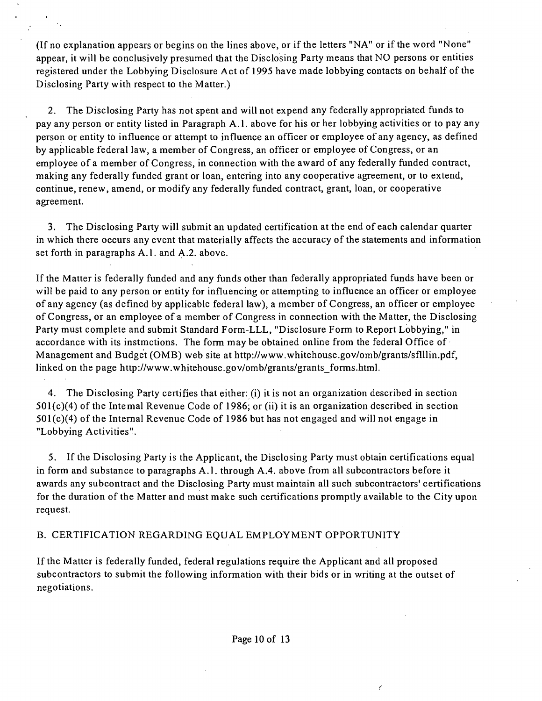(If no explanation appears or begins on the lines above, or if the letters "NA" or if the word "None" appear, it will be conclusively presumed that the Disclosing Party means that NO persons or entities registered under the Lobbying Disclosure Act of 1995 have made lobbying contacts on behalf of the Disclosing Party with respect to the Matter.)

2. The Disclosing Party has not spent and will not expend any federally appropriated funds to pay any person or entity listed in Paragraph A.l . above for his or her lobbying activities or to pay any person or entity to influence or attempt to influence an officer or employee of any agency, as defined by applicable federal law, a member of Congress, an officer or employee of Congress, or an employee of a member of Congress, in connection with the award of any federally funded contract, making any federally funded grant or loan, entering into any cooperative agreement, or to extend, continue, renew, amend, or modify any federally funded contract, grant, loan, or cooperative agreement.

3. The Disclosing Party will submit an updated certification at the end of each calendar quarter in which there occurs any event that materially affects the accuracy of the statements and information set forth in paragraphs A.1. and A.2. above.

If the Matter is federally funded and any funds other than federally appropriated funds have been or will be paid to any person or entity for influencing or attempting to influence an officer or employee of any agency (as defined by applicable federal law), a member of Congress, an officer or employee of Congress, or an employee of a member of Congress in connection with the Matter, the Disclosing Party must complete and submit Standard Form-LLL, "Disclosure Form to Report Lobbying," in accordance with its instmctions. The form may be obtained online from the federal Office of Management and Budget (OMB) web site at http://www.whitehouse.gov/omb/grants/sflllin.pdf, linked on the page http://www.whitehouse.gov/omb/grants/grants forms.html.

4. The Disclosing Party certifies that either: (i) it is not an organization described in section 501(c)(4) of the Intemal Revenue Code of 1986; or (ii) it is an organization described in section 501(c)(4) of the Internal Revenue Code of 1986 but has not engaged and will not engage in "Lobbying Activities".

5. If the Disclosing Party is the Applicant, the Disclosing Party must obtain certifications equal in form and substance to paragraphs A.1, through A.4, above from all subcontractors before it awards any subcontract and the Disclosing Party must maintain all such subcontractors' certifications for the duration of the Matter and must make such certifications promptly available to the City upon request.

#### B. CERTIFICATION REGARDING EQUAL EMPLOYMENT OPPORTUNITY

If the Matter is federally funded, federal regulations require the Applicant and all proposed subcontractors to submit the following information with their bids or in writing at the outset of negotiations.

 $\epsilon$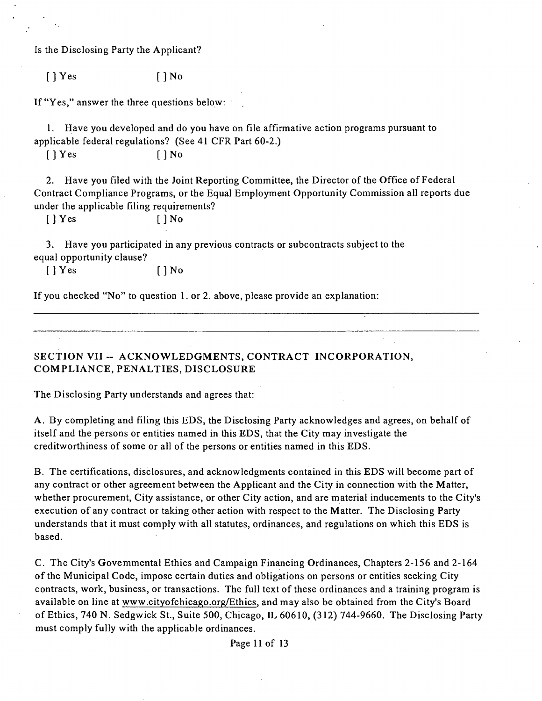Is the Disclosing Party the Applicant?

 $[$  | Yes  $[$  | No

If "Yes," answer the three questions below:

1. Have you developed and do you have on file affirmative action programs pursuant to applicable federal regulations? (See 41 CFR Part 60-2.)

 $[$   $]$  Yes  $[$   $]$  No

2. Have you filed with the Joint Reporting Committee, the Director of the Office of Federal Contract Compliance Programs, or the Equal Employment Opportunity Commission all reports due under the applicable filing requirements?

 $[$   $]$   $Y$ es  $[$   $]$   $N$ o

3. Have you participated in any previous contracts or subcontracts subject to the equal opportunity clause?

 $[$  | Yes  $[$  | No

If you checked "No" to question 1. or 2. above, please provide an explanation:

SECTION VII -- ACKNOWLEDGMENTS, CONTRACT INCORPORATION, COMPLIANCE, PENALTIES, DISCLOSURE

The Disclosing Party understands and agrees that:

A . By completing and filing this EDS, the Disclosing Party acknowledges and agrees, on behalf of itself and the persons or entities named in this EDS, that the City may investigate the creditworthiness of some or all of the persons or entities named in this EDS.

B. The certifications, disclosures, and acknowledgments contained in this EDS will become part of any contract or other agreement between the Applicant and the City in connection with the Matter, whether procurement. City assistance, or other City action, and are material inducements to the City's execution of any contract or taking other action with respect to the Matter. The Disclosing Party understands that it must comply with all statutes, ordinances, and regulations on which this EDS is based.

C. The City's Govemmental Ethics and Campaign Financing Ordinances, Chapters 2-156 and 2-164 of the Municipal Code, impose certain duties and obligations on persons or entities seeking City contracts, work, business, or transactions. The full text of these ordinances and a training program is available on line at www.citvofchicago.org/Ethics, and may also be obtained from the City's Board of Ethics, 740 N. Sedgwick St., Suite 500, Chicago, IL 60610, (312) 744-9660. The Disclosing Party must comply fully with the applicable ordinances.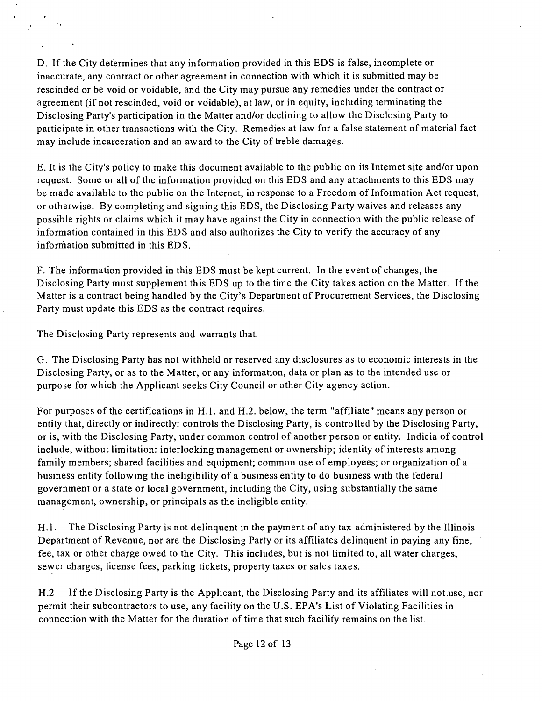D. If the City determines that any information provided in this EDS is false, incomplete or inaccurate, any contract or other agreement in connection with which it is submitted may be rescinded or be void or voidable, and the City may pursue any remedies under the contract or agreement (if not rescinded, void or voidable), at law, or in equity, including terminating the Disclosing Party's participation in the Matter and/or declining to allow the Disclosing Party to participate in other transactions with the City. Remedies at law for a false statement of material fact may include incarceration and an award to the City of treble damages.

E. It is the City's policy to make this document available to the public on its Intemet site and/or upon request. Some or all of the information provided on this EDS and any attachments to this EDS may be made available to the public on the Internet, in response to a Freedom of Information Act request, or otherwise. By completing and signing this EDS, the Disclosing Party waives and releases any possible rights or claims which it may have against the City in connection with the public release of information contained in this EDS and also authorizes the City to verify the accuracy of any information submitted in this EDS.

F. The information provided in this EDS must be kept current. In the event of changes, the Disclosing Party must supplement this EDS up to the time the City takes action on the Matter. If the Matter is a contract being handled by the City's Department of Procurement Services, the Disclosing Party must update this EDS as the contract requires.

The Disclosing Party represents and warrants that;

G. The Disclosing Party has not withheld or reserved any disclosures as to economic interests in the Disclosing Party, or as to the Matter, or any information, data or plan as to the intended use or purpose for which the Applicant seeks City Council or other City agency action.

For purposes of the certifications in H.l . and H.2. below, the term "affiliate" means any person or entity that, directly or indirectly: controls the Disclosing Party, is controlled by the Disclosing Party, or is, with the Disclosing Party, under common control of another person or entity. Indicia of control include, without limitation: interlocking management or ownership; identity of interests among family members; shared facilities and equipment; common use of employees; or organization of a business entity following the ineligibility of a business entity to do business with the federal government or a state or local government, including the City, using substantially the same management, ownership, or principals as the ineligible entity.

H.1. The Disclosing Party is not delinquent in the payment of any tax administered by the Illinois Department of Revenue, nor are the Disclosing Party or its affiliates delinquent in paying any fine, fee, tax or other charge owed to the City. This includes, but is not limited to, all water charges, sewer charges, license fees, parking tickets, property taxes or sales taxes.

H.2 If the Disclosing Party is the Applicant, the Disclosing Party and its affiliates will not use, nor permit their subcontractors to use, any facility on the U.S. EPA's List of Violating Facilities in connection with the Matter for the duration of time that such facility remains on the list.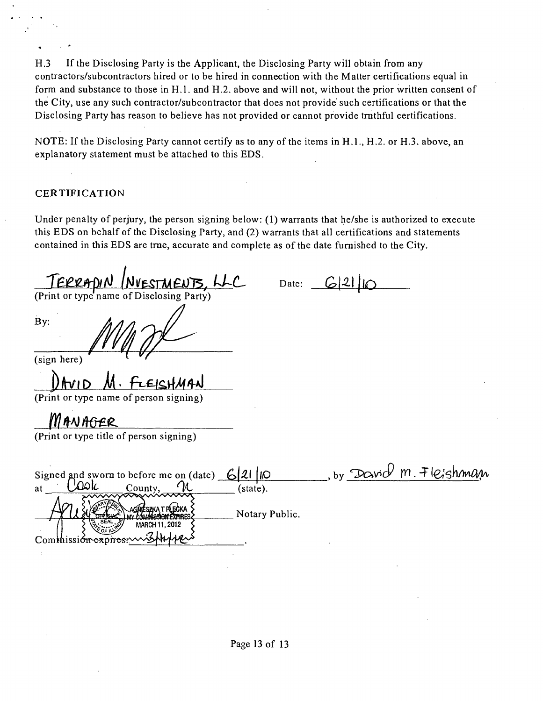H.3 If the Disclosing Party is the Applicant, the Disclosing Party will obtain from any contractors/subcontractors hired or to be hired in connection with the Matter certifications equal in form and substance to those in H.l . and H.2. above and will not, without the prior written consent of the City, use any such contractor/subcontractor that does not provide such certifications or that the Disclosing Party has reason to believe has not provided or cannot provide tmthful certifications.

NOTE: If the Disclosing Party cannot certify as to any of the items in H.1., H.2. or H.3. above, an explanatory statement must be attached to this EDS.

#### **CERTIFICATION**

Under penalty of perjury, the person signing below: (1) warrants that he/she is authorized to execute this EDS on behalf of the Disclosing Party, and (2) warrants that all certifications and statements contained in this EDS are tme, accurate and complete as of the date fumished to the City.

TERRADIN (NVESTMENTS, LLC

By:

Date:  $G(21)$ 

(sign here)

(Print or type name of person signing)

*\_JllAMMM.* 

(Print or type titie of person signing)

| Signed and sworn to before me on (date) $6 2 $                                           | $m$ $\mp$ $ e_{i}$ shman<br>David<br>ПЮ<br>by |
|------------------------------------------------------------------------------------------|-----------------------------------------------|
| County,<br>at                                                                            | (state).                                      |
| $\sim$<br>AGINĖSZKA T PLECKA                                                             | Notary Public.                                |
| $rac{\text{SEAL}}{\text{SEM}}$<br><b>MARCH 11, 2012</b><br>Commission expires misturizes |                                               |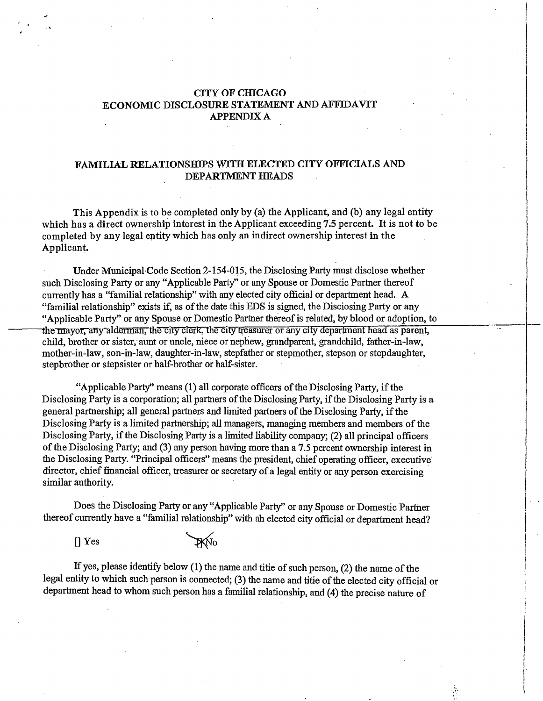#### **CITY OF CHICAGO ECONOMIC DISCLOSURE STATEMENT AND AFFIDAVIT APPENDIX A**

#### **FAMILIAL RELATIONSHIPS WITH ELECTED CITY OFFICIALS AND DEPARTMENT HEADS**

**This Appendix is to be completed only by (a) the Applicant, and (b) any legal entity which has a direct ownership interest in the Applicant exceeding 7.5 percent. It is not to be completed by any legal entity which has only an indirect ownership interest in the Applicant.** 

Under Municipal Code Section 2-154-015, the Disclosing Party must disclose whether such Disclosing Party or any "Applicable Party" or any Spouse or Domestic Partner thereof currently has a "familial relationship" with any elected city official or department head. A "familial relationship" exists if, as of the date this EDS is signed, the Disciosing Party or any "Applicable Party" or any Spouse or Domestic Partner thereof is related, by blood or adoption, to the mayor, any alderman, the city clerk, the city treasurer or any city department head as parent, child, brother or sister,' aunt or uncle, niece or nephew, grandparent, grandchild, father-in-law, mother-in-law, son-in-law, daughter-in-law, stepfather or stepmother, stepson or stepdaughter, stepbrother or stepsister or half-brother or half-sister.

"Applicable Party" means (1) all corporate officers of the Disclosing Party, if the Disclosing Party is a corporation; all partners of the Disclosing Party, if the Disclosing Party is a general partnership; all general partners and limited partners ofthe Disclosing Party, if the Disclosing Party is a limited partnership; all managers, managing members and members of the Disclosing Party, if the Disclosing Party is a limited liability company; (2) all principal officers of the Disclosing Party; and (3) any person having more than a 7.5 percent ownership interest in the Disclosing Party. "Principal officers" means the president, chief operating officer, executive director, chief financial officer, treasurer or secretary of a legal entity or any person exercising similar authority.

Does the Disclosing Party or any "Applicable Party" or any Spouse or Domestic Partner thereof currently have a "familial relationship" with ah elected city official or department head?

D Yes """^ 0

If yes, please identify below  $(1)$  the name and titie of such person,  $(2)$  the name of the legal entity to which such person is connected; (3) the name and titie of the elected city official or department head to whom such person has a familial relationship, and (4) the precise nature of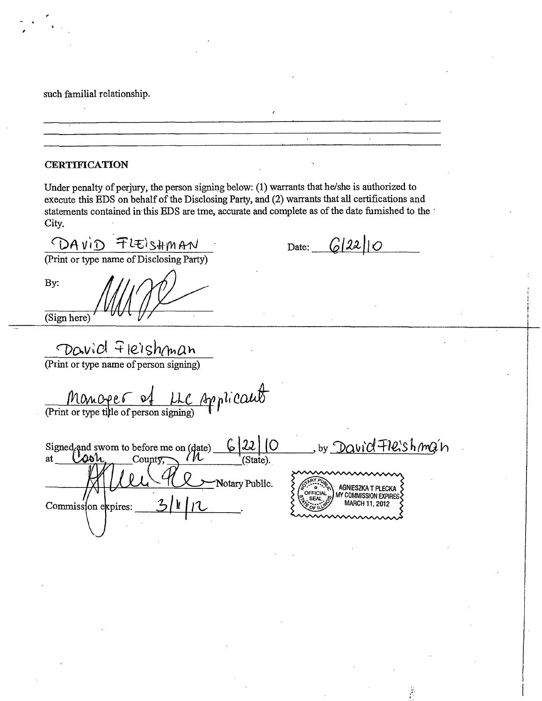such familial relationship.

#### **CERTIFICATION**

Under penalty of perjury, the person signing below: (1) warrants that he/she is authorized to execute this EDS on behalf of the Disclosing Party, and (2) warrants that all certifications and statements contained in this EDS are tme, accurate and complete as of the date fumished to the City.

 $\frac{\bigcap A \vee i \bigcap F \cup E \cup S \Downarrow \emptyset \wedge A \wedge I}{(Print or type name of Disclosing Party)}$ 

Date:  $G(22||O)$ 

By:

(Sign here)

DOWICL FICIShman<br>(Print or type name of person signing)

MOMOPER of LLC Applicaut

 $6|22|0$ by David Fleishman Signed and swom to before me on (date)  $\frac{1}{\sqrt{2\delta\mu}}$ County, Notary Public. AGNIESZKA T PLECKA MY COMMISSION EXPIRES MARCH 11, 2012 Commission expires: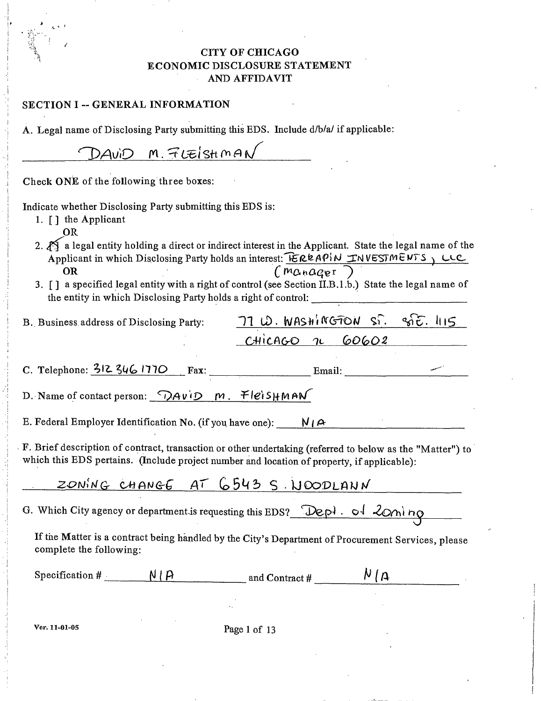# CITY OF CHICAGO ECONOMIC DISCLOSURE STATEMENT AND AFFIDAVIT

| SECTION I -- GENERAL INFORMATION                                                                                                                                                                                                     |
|--------------------------------------------------------------------------------------------------------------------------------------------------------------------------------------------------------------------------------------|
| A. Legal name of Disclosing Party submitting this EDS. Include d/b/a/ if applicable:                                                                                                                                                 |
| $\lambda$ AviD M. FLEISHMAN                                                                                                                                                                                                          |
| Check ONE of the following three boxes:                                                                                                                                                                                              |
| Indicate whether Disclosing Party submitting this EDS is:<br>1. $\lceil \cdot \rceil$ the Applicant<br>OR                                                                                                                            |
| 2. $\mathbb{A}$ a legal entity holding a direct or indirect interest in the Applicant. State the legal name of the<br>Applicant in which Disclosing Party holds an interest: EREAPIN INVESTMENTS, LLC<br>(ma n a q e r)<br><b>OR</b> |
| 3. [] a specified legal entity with a right of control (see Section II.B.1.b.) State the legal name of                                                                                                                               |
| $71$ $B.$ WASHINGTON S. S. T. 115<br>B. Business address of Disclosing Party:                                                                                                                                                        |
| CHICAGO 1 60602                                                                                                                                                                                                                      |
| C. Telephone: $3/2$ $3/6$ $1770$ Fax: Email: Email:                                                                                                                                                                                  |
| D. Name of contact person: $\overline{DAVID}$ m. Fleis $HMAN$                                                                                                                                                                        |
| E. Federal Employer Identification No. (if you have one): $N/A$                                                                                                                                                                      |
| F. Brief description of contract, transaction or other undertaking (referred to below as the "Matter") to<br>which this EDS pertains. (Include project number and location of property, if applicable):                              |
| ZONING CHANGE AT 6543 S. NOODLANN                                                                                                                                                                                                    |
| G. Which City agency or department is requesting this EDS? Depl. of 2000 no                                                                                                                                                          |
| If the Matter is a contract being handled by the City's Department of Procurement Services, please<br>complete the following:                                                                                                        |
| N(A)<br>Specification # $N \mid \beta$<br>$\frac{1}{2}$ and Contract #                                                                                                                                                               |
|                                                                                                                                                                                                                                      |
| Ver. 11-01-05<br>Page 1 of 13                                                                                                                                                                                                        |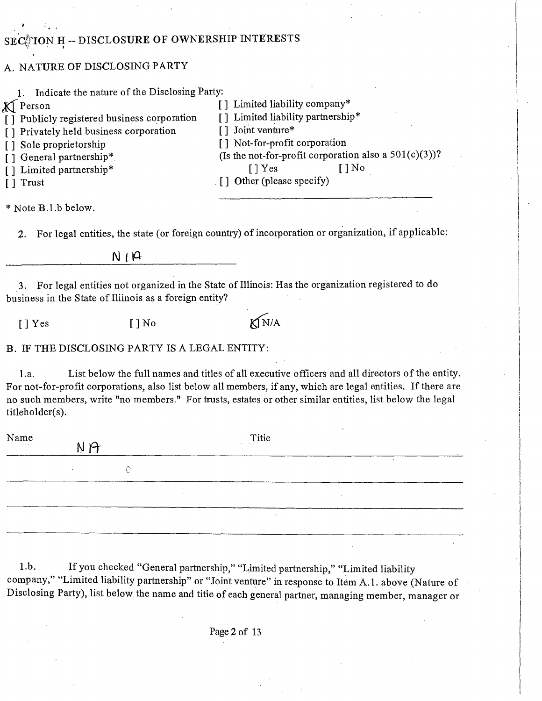# SEC@TON H -- DISCLOSURE OF OWNERSHIP INTERESTS

# A. NATURE OF DISCLOSING PARTY

 $\hat{C}$ 

| 1. Indicate the nature of the Disclosing Party:              |          |                                                                                                                                                                                                                                                                                                                             |
|--------------------------------------------------------------|----------|-----------------------------------------------------------------------------------------------------------------------------------------------------------------------------------------------------------------------------------------------------------------------------------------------------------------------------|
| <b>X</b> Person                                              |          | [] Limited liability company*                                                                                                                                                                                                                                                                                               |
| [] Publicly registered business corporation                  |          | Limited liability partnership*                                                                                                                                                                                                                                                                                              |
| [] Privately held business corporation                       |          | Joint venture*                                                                                                                                                                                                                                                                                                              |
| Sole proprietorship                                          |          | [] Not-for-profit corporation                                                                                                                                                                                                                                                                                               |
| General partnership*<br>$\Box$                               |          | (Is the not-for-profit corporation also a $501(c)(3)$ )?<br>$[$   No<br>$[$   $Y$ es                                                                                                                                                                                                                                        |
| Limited partnership*                                         |          | $\lceil \cdot \rceil$ Other (please specify)                                                                                                                                                                                                                                                                                |
| Trust<br>LT.                                                 |          |                                                                                                                                                                                                                                                                                                                             |
| * Note B.1.b below.                                          |          |                                                                                                                                                                                                                                                                                                                             |
| 2.                                                           |          | For legal entities, the state (or foreign country) of incorporation or organization, if applicable:                                                                                                                                                                                                                         |
|                                                              | N/R      |                                                                                                                                                                                                                                                                                                                             |
| 3.<br>business in the State of Iliinois as a foreign entity? |          | For legal entities not organized in the State of Illinois: Has the organization registered to do                                                                                                                                                                                                                            |
| $\lceil$   Yes                                               | $[$   No | KIN/A                                                                                                                                                                                                                                                                                                                       |
| B. IF THE DISCLOSING PARTY IS A LEGAL ENTITY:                |          |                                                                                                                                                                                                                                                                                                                             |
| 1.a.<br>titleholder(s).                                      |          | List below the full names and titles of all executive officers and all directors of the entity.<br>For not-for-profit corporations, also list below all members, if any, which are legal entities. If there are<br>no such members, write "no members." For trusts, estates or other similar entities, list below the legal |
| Name<br>N                                                    |          | Titie                                                                                                                                                                                                                                                                                                                       |

1 .b. If you checked "General partnership," "Limited partnership," "Limited liability company," "Limited liability partnership" or "Joint venture" in response to Item A.1. above (Nature of Disclosing Party), list below the name and titie of each general partner, managing member, manager or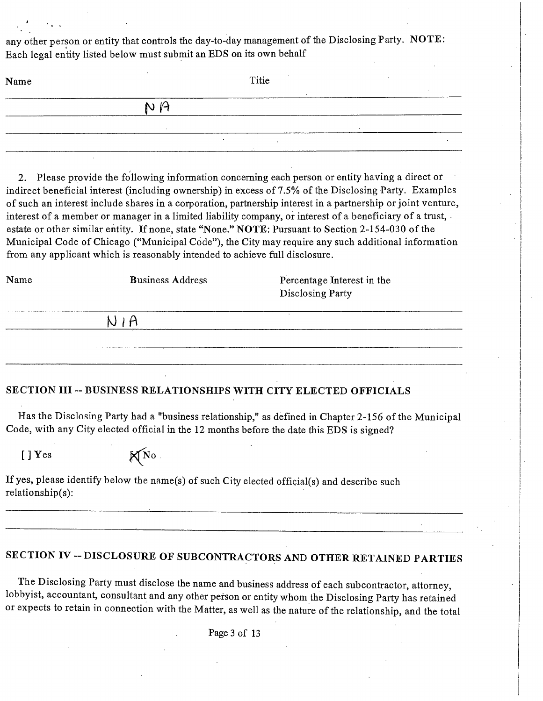any other person or entity that controls the day-to-day management of the Disclosing Party. NOTE: Each legal entity listed below must submit an EDS on its own behalf

| Name | Titie |  |  |  |
|------|-------|--|--|--|
|      | NA    |  |  |  |
|      |       |  |  |  |

2. Please provide the following information concerning each person or entity having a direct or indirect beneficial interest (including ownership) in excess of 7.5% of the Disclosing Party. Examples of such an interest include shares in a corporation, partnership interest in a partnership or joint venture, interest of a member or manager in a limited liability company, or interest of a beneficiary of a trust, • estate or other similar entity. If none, state "None." NOTE: Pursuant to Section 2-154-030 of the Municipal Code of Chicago ("Municipal Code"), the City may require any such additional information from any applicant which is reasonably intended to achieve full disclosure.

| Name | <b>Business Address</b> | Percentage Interest in the<br>Disclosing Party |  |
|------|-------------------------|------------------------------------------------|--|
|      |                         |                                                |  |
|      |                         |                                                |  |

#### **SECTION III ~ BUSINESS RELATIONSHIPS WITH CITY ELECTED OFFICIALS**

Has the Disclosing Party had a "business relationship," as defined in Chapter 2-156 of the Municipal Code, with any City elected official in the 12 months before the date this EDS is signed?

 $[ ] Yes$   $\mathbb{X}^{N_0}$ 

If yes, please identify below the name(s) of such City elected official(s) and describe such relationship(s):

# SECTION IV - DISCLOSURE OF SUBCONTRACTORS AND OTHER RETAINED PARTIES

The Disclosing Party must disclose the name and business address of each subcontractor, attorney, lobbyist, accountant, consultant and any other person or entity whom the Disclosing Party has retained or expects to retain in connection with the Matter, as well as the nature of the relationship, and the total

Page 3 of 13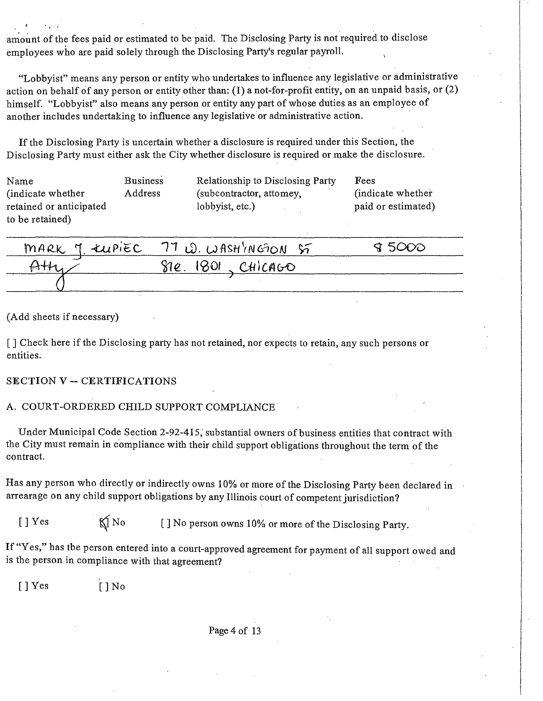amount of the fees paid or estimated to be paid. The Disclosing Party is not required to disclose employees who are paid solely through the Disclosing Party's regular payroll.

"Lobbyist" means any person or entity who undertakes to influence any legislative or administrative action on behalf of any person or entity other than: (I) a not-for-profit entity, on an unpaid basis, or (2) himself. "Lobbyist" also means any person or entity any part of whose duties as an employee of another includes undertaking to influence any legislative or administrative action.

If the Disclosing Party is uncertain whether a disclosure is required under this Section, the Disclosing Party must either ask the City whether disclosure is required or make the disclosure.

| Name                    | <b>Business</b> | Relationship to Disclosing Party | Fees               |
|-------------------------|-----------------|----------------------------------|--------------------|
| (indicate whether)      | Address         | (subcontractor, attomey,         | (indicate whether) |
| retained or anticipated |                 | lobbyist, etc.)                  | paid or estimated) |
| to be retained)         |                 |                                  |                    |

| MARK 7 EUPIEC 77 W. WASHINGON ST | 7 5000 |
|----------------------------------|--------|
| $81e.$ 1801, CHICAGO             |        |
|                                  |        |

(Add sheets if necessary)

[ ] Check here if the Disclosing party has not retained, nor expects to retain, any such persons or entities.

#### **SECTION V ~ CERTIFICATIONS**

#### A. COURT-ORDERED CHILD SUPPORT COMPLIANCE

Under Municipal Code Section 2-92-415, substantial owners of business entities that contract with the City must remain in compliance with their child support obligations throughout the term of the contract.

Has any person who directly or indirectly owns 10% or more of the Disclosing Party been declared in arrearage on any child support obligations by any Illinois court of competent jurisdiction?

[ ] Yes  $\bigotimes$  No [ ] No person owns 10% or more of the Disclosing Party.

If "Yes," has tbe person entered into a court-approved agreement for payment of all support owed and is the person in compliance with that agreement?

 $[ ]$  Yes  $[ ]$  No

Page 4 of 13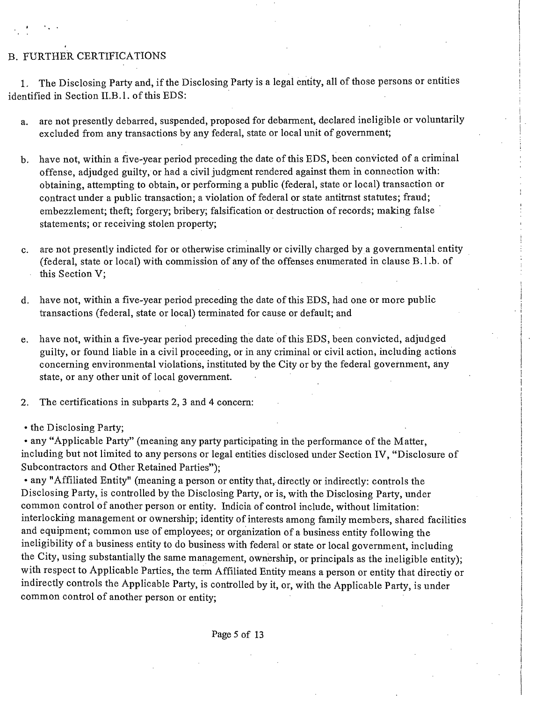# B. FURTHER CERTIFICATIONS

1, The Disclosing Party and, if the Disclosing Party is a legal entity, all of those persons or entities identified in Section II.B.1. of this EDS:

- a. are not presently debarred, suspended, proposed for debarment, declared ineligible or voluntarily excluded from any transactions by any federal, state or local unit of government;
- b. have not, within a five-year period preceding the date of this EDS, been convicted of a criminal offense, adjudged guilty, or had a civil judgment rendered against them in connection with: obtaining, attempting to obtain, or performing a public (federal, state or local) transaction or contract under a public transaction; a violation of federal or state antitmst statutes; fraud; embezzlement; theft; forgery; bribery; falsification or destruction of records; making false statements; or receiving stolen property;
- are not presently indicted for or otherwise criminally or civilly charged by a governmental entity (federal, state or local) with commission of any of the offenses enumerated in clause  $B.1.b.$  of this Section V;
- d. have not, within a five-year period preceding the date of this EDS, had one or more public transactions (federal, state or local) terminated for cause or default; and
- e. have not, within a five-year period preceding the date of this EDS, been convicted, adjudged guilty, or found liable in a civil proceeding, or in any criminal or civil action, including actions concerning environmental violations, instituted by the City or by the federal government, any state, or any other unit of local govemment.
- 2. The certifications in subparts 2, 3 and 4 concem:

• the Disclosing Party;

• any "Applicable Party" (meaning any party participating in the performance of the Matter, including but not limited to any persons or legal entities disclosed under Section IV, "Disclosure of Subcontractors and Other Retained Parties");

• any "Affiliated Entity" (meaning a person or entity that, directly or indirectly: controls the Disclosing Party, is controlled by the Disclosing Party, or is, with the Disclosing Party, under common control of another person or entity. Indicia of control include, without limitation: interlocking management or ownership; identity of interests among family members, shared facilities and equipment; common use of employees; or organization of a business entity following the ineligibility of a business entity to do business with federal or state or local government, including the City, using substantially the same management, ownership, or principals as the ineligible entity); with respect to Applicable Parties, the term Affiliated Entity means a person or entity that directiy or indirectly controls the Applicable Party, is controlled by it, or, with the Applicable Party, is under common control of another person or entity;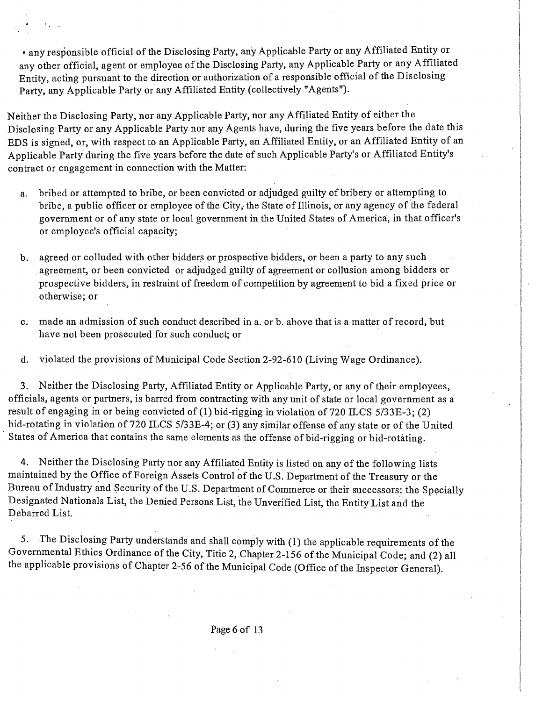• any responsible official of the Disclosing Party, any Applicable Party or any Affiliated Entity or any other official, agent or employee of the Disclosing Party, any Applicable Party or any Affiliated Entity, acting pursuant to the direction or authorization of a responsible official of the Disclosing Party, any Applicable Party or any Affiliated Entity (collectively "Agents").

Neither the Disclosing Party, nor any Applicable Party, nor any Affiliated Entity of either the Disclosing Party or any Applicable Party nor any Agents have, during the five years before the date this EDS is signed, or, with respect to an Applicable Party, an Affiliated Entity, or an Affiliated Entity of an Applicable Party during the five years before the date of such Applicable Party's or Affiliated Entity's contract or engagement in connection with the Matter:

- a. bribed or attempted to bribe, or been convicted or adjudged guilty of bribery or attempting to bribe, a public officer or employee of the City, the State of Illinois, or any agency of the federal government or of any state or local govemment in the United States of America;, in that officer's or employee's official capacity;
- b. agreed or colluded with other bidders or prospective bidders, or been a party to any such agreement, or been convicted or adjudged guilty of agreement or collusion among bidders or prospective bidders, in restraint of freedom of competition by agreenient to bid a fixed price or otherwise; or
- c. made an admission of such conduct described in a. or b. above that is a matter of record, but have not been prosecuted for such conduct; or
- d. violated the provisions of Municipal Code Section 2-92-610 (Living Wage Ordinance).

3. Neither the Disclosing Party, Affiliated Entity or Applicable Party, or any of their employees, officials, agents or partners, is barred from contracting with any unit of state or local government as a result of engaging in or being convicted of (1) bid-rigging in violation of 720 ILCS 5/33E-3; (2) bid-rotating in violation of 720 ILCS 5/33E-4; or (3) any similar offense of any state or of the United States of America that contains the same elements as the offense of bid-rigging or bid-rotating.

4. Neither the Disclosing Party nor any Affiliated Entity is listed on any of the foliowing lists maintained by the Office of Foreign Assets Control of the U.S. Department of the Treasury or the Bureau of Industry and Security of the U.S. Department of Commerce or their successors: the Specially Designated Nationals List, the Denied Persons List, the Unverified List, the Entity List and the Debarred List.

5. The Disclosing Party understands and shall comply with (1) the applicable requirements of the Governmental Ethics Ordinance of the City, Titie 2, Chapter 2-156 ofthe Municipal Code; and (2) all the applicable provisions of Chapter 2-56 of the Municipal Code (Office of the Inspector General).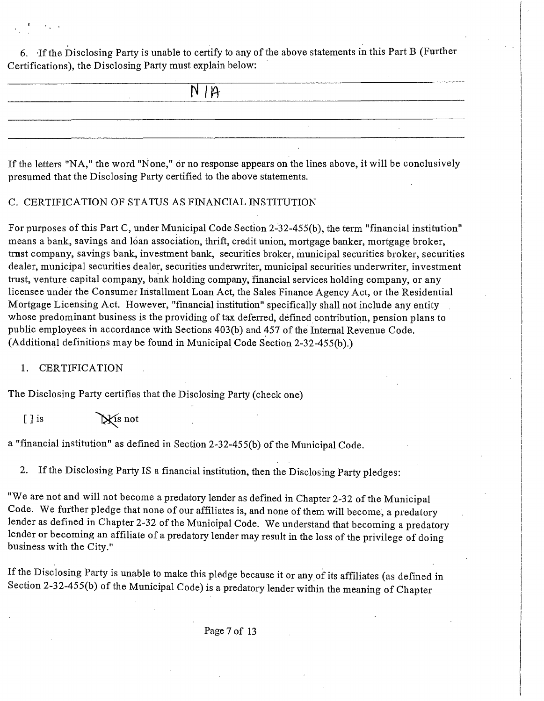6. Tf the Disclosing Party is unable to certify to any of the above statements in this Part B (Further Certifications), the Disclosing Party must explain below:

|  | $N$ $\uparrow$<br>______ |  |
|--|--------------------------|--|
|  |                          |  |
|  |                          |  |
|  |                          |  |

If the letters "NA, " the word "None," dr no response appears on the lines above, it will be conclusively presumed that the Disclosing Party certified to the above statements.

# C. CERTIFICATION OF STATUS AS FINANCIAL INSTITUTION

For purposes of this Part C, under Municipal Code Section 2-32-455(b), the term "financial institution" means a bank, savings and loan association, thrift, credit union, mortgage banker, mortgage broker, tmst company, savings bank, investment bank, securities broker, municipal securities broker, securities dealer, municipal securities dealer, securities underwriter, municipal securities underwriter, investment trast, venture capital company, bank holding company, financial services holding company, or any licensee under the Consumer Installment Loan Act, the Sales Finance Agency Act, or the Residential Mortgage Licensing Act. However, "financial institution" specifically shall not include any entity whose predominant business is the providing of tax deferred, defined contribution, pension plans to public employees in accordance with Sections 403(b) and 457 of the Internal Revenue Code. (Additional definitions may be found in Municipal Code Section 2-32-455(b).)

# 1. CERTIFICATION

The Disclosing Party certifies that the Disclosing Party (check one)

 $[ ]$  is  $\mathbb{X}$  is not

a "financial institution" as defined in Section 2-32-455(b) of the Municipal Code.

2. If the Disclosing Party IS a financial institution, then the Disclosing Party pledges:

"We are not and will not become a predatory lender as defined in Chapter 2-32 of the Municipal Code. We further pledge that none of our affiliates is, and none of them wiU become, a predatory lender as defined in Chapter 2-32 of the Municipal Code. We understand that becoming a predatory lender or becoming an affiliate of a predatory lender may result in the loss of the privilege of doing business with the City."

If the Disclosing Party is unable to make this pledge because it or any of its affiliates (as defined in Section 2-32-455(b) of the Municipal Code) is a predatory lender within the meaning of Chapter

Page 7 of 13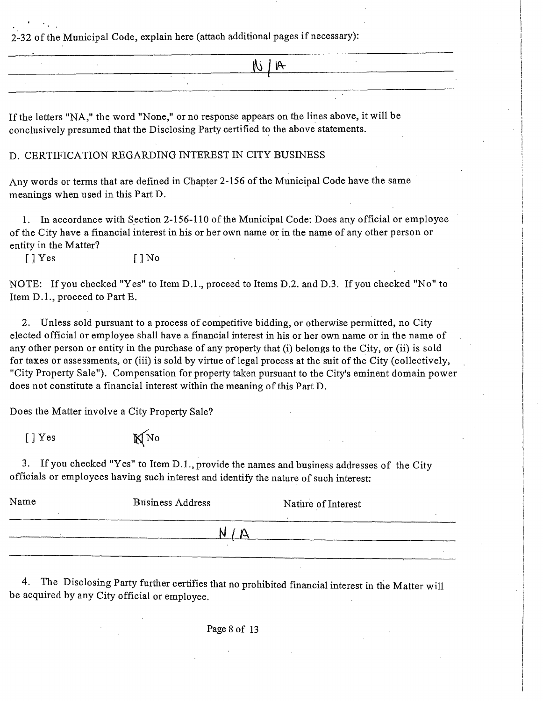2-32 of the Municipal Code, explain here (attach additional pages if necessary):

|         | IΩ<br>$M \setminus I$ |  |
|---------|-----------------------|--|
|         |                       |  |
|         |                       |  |
| _______ | ____                  |  |

If the letters "NA, " the word "None," or no response appears on the lines above, it will be conclusively presumed that the Disclosing Party certified to the above statements.

#### D. CERTIFICATION REGARDING INTEREST IN CITY BUSINESS

Any words or terms that are defined in Chapter 2-156 of the Municipal Code have the same meanings when used in this Part D.

1. In accordance with Section 2-156-110 of the Municipal Code: Does any official or employee of the City have a financial interest in his or her own name or in the name of any other person or entity in the Matter?

 $[ ]$  Yes  $[ ]$  No

NOTE: If you checked "Yes" to Item D.1., proceed to Items D.2. and D.3. If you checked "No" to Item D.1., proceed to Part E.

2. Unless sold pursuant to a process of competitive bidding, or otherwise permitted, no City elected official or employee shall have a financial interest in his or her own name or in the name of any other person or entity in the purchase of any property that (i) belongs to the City, or (ii) is sold for taxes or assessments, or (iii) is sold by virtue of legal process at the suit of the City (collectively, "City Property Sale"). Compensation for property taken pursuant to the City's eminent domain power does not constitute a financial interest within the meaning of this Part D.

Does the Matter involve a City Property Sale?

 $[$  ] Yes  $\mathbb{N}$  No

3. Ifyou checked "Yes" to Item D.L , provide the names and business addresses of the City officials or employees having such interest and identify the nature of such interest:

| Name | <b>Business Address</b> | Nature of Interest |
|------|-------------------------|--------------------|
|      |                         |                    |
|      |                         |                    |
|      |                         |                    |
|      |                         |                    |

4. The Disclosing Party further certifies that no prohibited financial interest in the Matter will be acquired by any City official or employee.

Page 8 of 13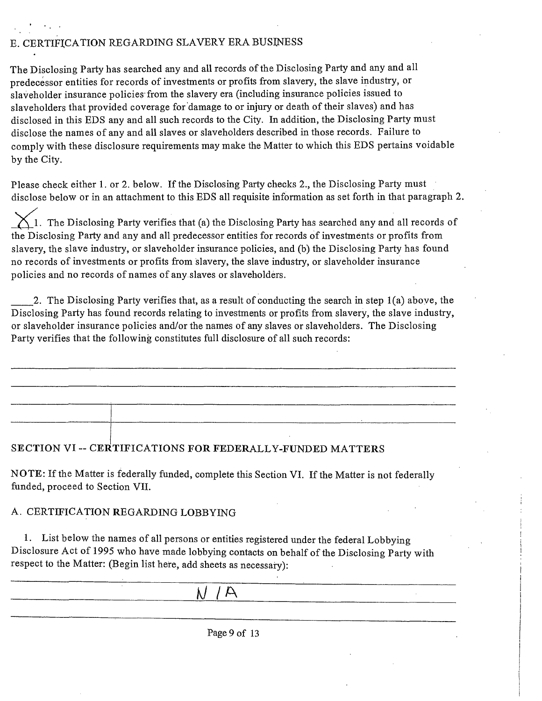# E. CERTIFICATION REGARDING SLAVERY ERA BUSINESS

The Disclosing Party has searched any and all records of the Disclosing Party and any and all predecessor entities for records of investments or profits from slavery, the slave industry, or slaveholder insurance policies from the slavery era (including insurance policies issued to slaveholders that provided coverage for damage to or injury or death of their slaves) and has disclosed in this EDS any and all such records to the City. In addition, the Disclosing Party must disclose the names of any and all slaves or slaveholders described in those records. Failure to comply with these disclosure requirements may make the Matter to which this EDS pertains voidable by the City.

Please check either 1. or 2. below. If the Disclosing Party checks 2., the Disclosing Party must disclose below or in an attachment to this EDS all requisite information as set forth in that paragraph 2.

 $\setminus$  1. The Disclosing Party verifies that (a) the Disclosing Party has searched any and all records of the Disclosing Party and any and all predecessor entities for records of investments or profits from slavery, the slave industry, or slaveholder insurance policies, and (b) the Disclosing Party has found no records of investments or profits from slavery, the slave industry, or slaveholder insurance policies and no records of names of any slaves or slaveholders.

2. The Disclosing Party verifies that, as a result of conducting the search in step 1(a) aboye, the Disclosing Party has found records relating to investments or profits from slavery, the slave industry, or slaveholder insurance policies and/or the names of any slaves or slaveholders. The Disclosing Party verifies that the following constitutes full disclosure of all such records:

# **SECTION VI ~ CERTIFICATIONS FOR FEDERALLY-FUNDED MATTERS**

NOTE: If the Matter is federally funded, complete this Section VI. If the Matter is not federally funded, proceed to Section VII.

#### A . CERTIFICATION REGARDING LOBBYING

1. List below the names of all persons or entities registered under the federal Lobbying Disclosure Act of 1995 who have made lobbying contacts on behalf of the Disclosing Party with respect to the Matter: (Begin list here, add sheets as necessary):

**kl /A** 

Page 9 of 13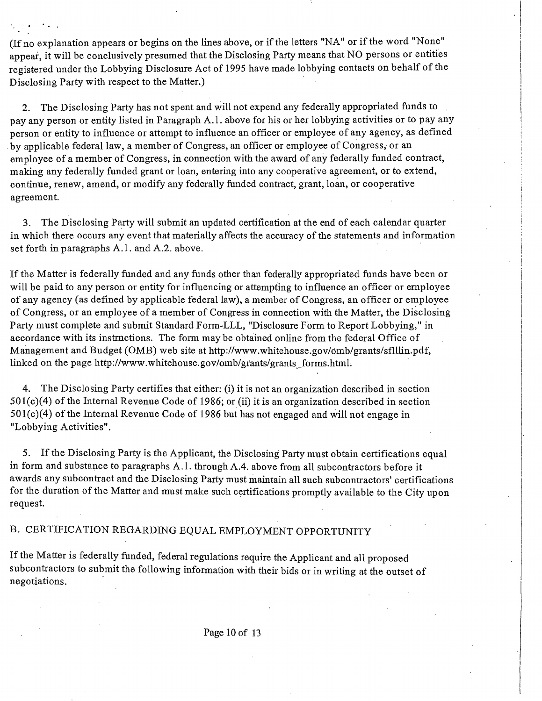(If no explanation appears or begins on the lines above, or if the letters "NA" or if the word "None" appear, it will be conclusively presumed that the Disclosing Party means that NO persons or entities registered under the Lobbying Disclosure Act of 1995 have made lobbying contacts on behalf of the Disclosing Party with respect to the Matter.)

2. The Disclosing Party has not spent and will not expend any federally appropriated funds to , pay any person or entity listed in Paragraph A.l . above for his or her lobbying activities or to pay any person or entity to influence or attempt to influence an officer or employee of any agency, as defined by applicable federal law, a member of Congress, an officer or employee of Congress, or an employee of a member of Congress, in connection with the award of any federally funded contract, making any federally funded grant or loan, entering into any cooperative agreement, or to extend, continue, renew, amend, or modify any federally funded contract, grant, loan, or cooperative agreement.

3. The Disclosing Party will submit an updated certification at the end of each calendar quarter in which there occurs any event that materially affects the accuracy of the statements and information set forth in paragraphs A.l. and A.2. above.

If the Matter is federally funded and any funds other than federally appropriated funds have been or will be paid to any person or entity for influencing or attempting to influence an officer or employee of any agency (as defined by applicable federal law), a member of Congress, an officer or employee of Congress, or an employee of a member of Congress in connection with the Matter, the Disclosing Party must complete and submit Standard Form-LLL, "Disclosure Form to Report Lobbying," in accordance with its instmctions. The form may be obtained online from the federal Office of Management and Budget (OMB) web site at http://www.whitehouse.gov/omb/grants/sflllin.pdf, linked on the page http://www.whitehouse.gov/omb/grants/grants forms.html.

4. The Disclosing Party certifies that either: (i) it is not an organization described in section 501(c)(4) of the Intemal Revenue Code of 1986; or (ii) it is an organization described in section  $501(c)(4)$  of the Internal Revenue Code of 1986 but has not engaged and will not engage in "Lobbying Activities".

5. If the Disclosing Party is the Applicant, the Disclosing Party must obtain certifications equal in form and substance to paragraphs A.1. through A.4. above from all subcontractors before it awards any subcontract and the Disclosing Party must maintain all such subcontractors' certifications for the duration of the Matter and must make such certifications promptly available to the City upon request.

# B. CERTIFICATION REGARDING EQUAL EMPLOYMENT OPPORTUNITY

If the Matter is federally funded, federal regulations require the Applicant and all proposed subcontiactors to submit the following information with their bids or in writing at the outset of negotiations.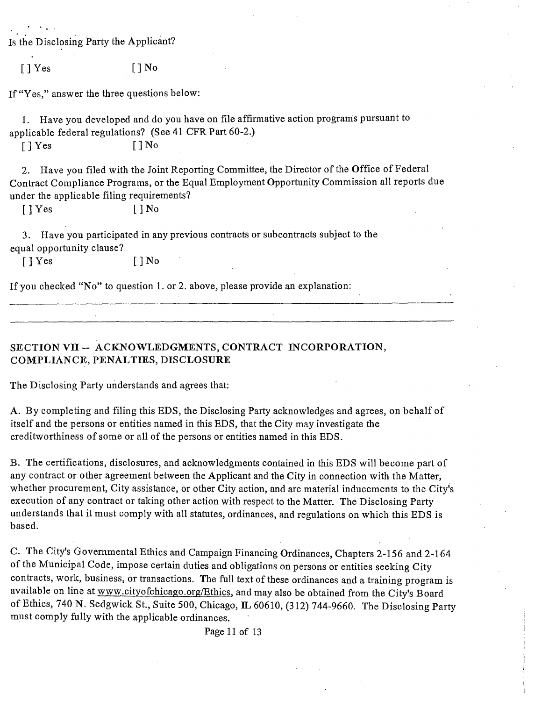|                                 | Is the Disclosing Party the Applicant?                                                                                                                                                                                                          |
|---------------------------------|-------------------------------------------------------------------------------------------------------------------------------------------------------------------------------------------------------------------------------------------------|
| $\lceil$   Yes                  | [ ] No                                                                                                                                                                                                                                          |
|                                 | If "Yes," answer the three questions below:                                                                                                                                                                                                     |
| 1.                              | Have you developed and do you have on file affirmative action programs pursuant to<br>applicable federal regulations? (See 41 CFR Part 60-2.)                                                                                                   |
| $\lceil$ Yes                    | $[$ $]$ No                                                                                                                                                                                                                                      |
| 2.<br>$\lceil \cdot \rceil$ Yes | Have you filed with the Joint Reporting Committee, the Director of the Office of Federal<br>Contract Compliance Programs, or the Equal Employment Opportunity Commission all reports due<br>under the applicable filing requirements?<br>[ ] No |
| 3.<br>equal opportunity clause? | Have you participated in any previous contracts or subcontracts subject to the                                                                                                                                                                  |
| $\lceil \cdot \rceil$ Yes       | $\lceil \, \rceil$ No                                                                                                                                                                                                                           |
|                                 | If you checked "No" to question 1. or 2. above, please provide an explanation:                                                                                                                                                                  |
|                                 |                                                                                                                                                                                                                                                 |
|                                 |                                                                                                                                                                                                                                                 |

### SECTION VII -- ACKNOWLEDGMENTS, CONTRACT INCORPORATION, **COMPLIANCE, PENALTIES, DISCLOSURE**

The Disclosing Party understands and agrees that:

A. By completing and filing this EDS, the Disclosing Party acknowledges and agrees, on behalf of itself and the persons or entities named in this EDS, that the City may investigate the creditworthiness of some or all of the persons or entities named in this EDS.

B. The certifications, disclosures, and acknowledgments contained in this EDS will become part of any contract or other agreement between the Applicant and the City in connection with the Matter, whether procurement. City assistance, or other City action, and are material inducements to the City's execution of any contract or taking other action with respect to the Matter. The Disclosing Party understands that it must comply with all statutes, ordinances, and regulations on which this EDS is based.

C. The City's Govemmental Ethics and Campaign Financing Ordinances, Chapters 2-156 and 2-164 of the Municipal Code, impose certain duties and obligations on persons or entities seeking City contracts, work, business, or transactions. The full text of these ordinances and a training program is available on line at www.cityofchicago.org/Ethics, and may also be obtained from the City's Board of Ethics, 740 N. Sedgwick St., Suite 500, Chicago, IL 60610, (312) 744-9660. The Disclosing Party must comply fully with the applicable ordinances.

Page 11 of 13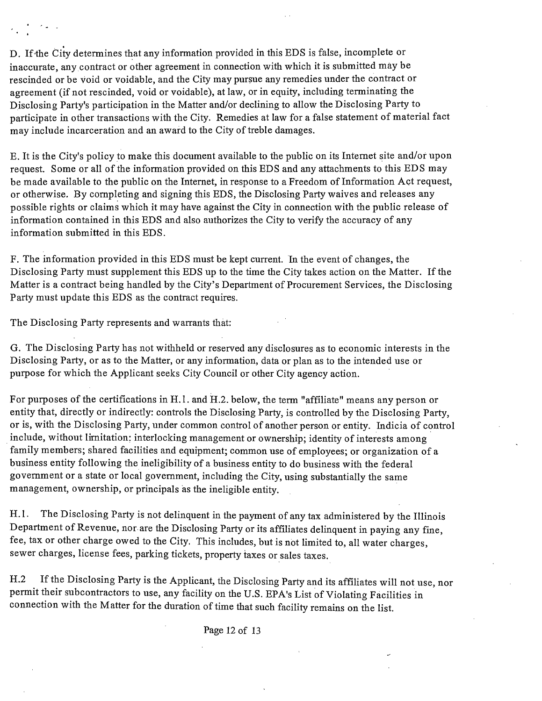D. If'the City determines that any information provided in this EDS is false, incomplete or inaccurate, any contract or other agreement in connection with which it is submitted may be rescinded or be void or voidable, and the City may pursue any remedies under the contract or agreement (if not rescinded, void or voidable), at law, or in equity, including terminating the Disclosing Party's participation in the Matter and/or declining to allow the Disclosing Party to participate in other transactions with the City. Remedies at law for a false statement of material fact may include incarceration and an award to the City of treble damages.

E. It is the City's policy to make this document available to the public on its Intemet site and/or upon request. Some or all of the information provided on this EDS and any attachments to this EDS may be made available to the public on the Internet, in response to a Freedom of Information Act request, or otherwise. By completing and signing this EDS, the Disclosing Party waives and releases any possible rights or claims which it may have against the City in connection with the public release of information contained in this EDS and also authorizes the City to verify the accuracy of any information submitted in this EDS.

F. The information provided in this EDS must be kept current. In the event of changes, the Disclosing Party must supplement this EDS up to the time the City takes action on the Matter. If the Matter is a contract being handled by the City's Department of Procurement Services, the Disclosing Party must update this EDS as the contract requires.

The Disclosing Party represents and warrants that:

 $\sigma_{\rm{max}}$  .

G. The Disclosing Party has not withheld or reserved any disclosures as to economic interests in the Disclosing Party, or as to the Matter, or any information, data or plan as to the intended use or purpose for which the Applicant seeks City Council or other City agency action.

For purposes of the certifications in H.1. and H.2. below, the term "affiliate" means any person or entity that, directly or indirectly: controls the Disclosing Party, is controlled by the Disclosing Party, or is, with the Disclosing Party, under common control of another person or entity. Indicia of control include, without limitation; interlocking management or ownership; identity of interests among family members; shared facilities and equipment; common use of employees; or organization of a business entity following the ineligibility of a business entity to do business with the federal govemment or a state or local govemment, including the City, using substantially the same management, ownership, or principals as the ineligible entity.

H.1. The Disclosing Party is not delinquent in the payment of any tax administered by the Illinois Department of Revenue, nor are the Disclosing Party or its affiliates delinquent in paying any fine, fee, tax or other charge owed to the City. This includes, but is not limited to, all water charges, sewer charges, license fees, parking tickets, property taxes or sales taxes.

H.2 If the Disclosing Party is the Applicant, the Disclosing Party and its affiliates will not use, nor permit their subcontractors to use, any facility on the U.S. EPA's List of Violating Facilities in connection with the Matter for the duration of time that such facility remains on the list.

Page 12 of 13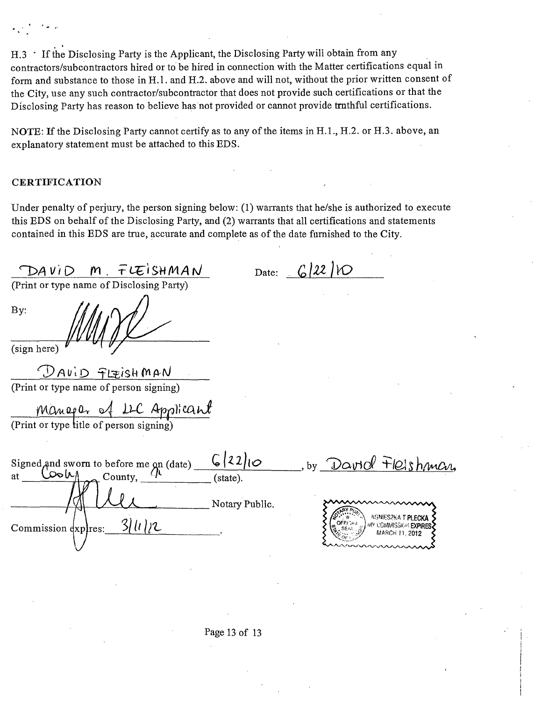H.3 <sup>.</sup> If the Disclosing Party is the Applicant, the Disclosing Party will obtain from any contractors/subcontractors hired or to be hired in connection with the Matter certifications equal in form and substance to those in H.1. and H.2. above and will not, without the prior written consent of the City, use any such contractor/subcontractor that does not provide such certifications or that the Disclosing Party has reason to believe has not provided or cannot provide tmthful certifications.

NOTE: If the Disclosing Party cannot certify as to any of the items in H.1., H.2. or H.3. above, an explanatory statement must be attached to this EDS.

#### **CERTIFICATION**

Under penalty of perjury, the person signing below: (1) warrants that he/she is authorized to execute this EDS on behalf of the Disclosing Party, and (2) warrants that all certifications and statements contained in this EDS are true, accurate and complete as of the date furnished to the City.

من من المسافر

 $n \log l$ 

| DAVID<br>$\mathbf{r}$<br>TLEISHMAN                                                          | 6141<br>Date:                                                         |
|---------------------------------------------------------------------------------------------|-----------------------------------------------------------------------|
| (Print or type name of Disclosing Party)                                                    |                                                                       |
| By:<br>(sign here)                                                                          |                                                                       |
| DAVID FLEISHMAN<br>(Print or type name of person signing)                                   |                                                                       |
|                                                                                             |                                                                       |
| Managar of LLC Applicant                                                                    |                                                                       |
| (Print or type title of person signing)                                                     |                                                                       |
| Signed, and sworn to before me on (date)<br>الماحص<br>County, $\langle \cdot \rangle$<br>at | 6 22 10<br>by David FICIshman<br>(state).                             |
| 31112                                                                                       | Notary Public.<br><b>AGNIESZKA T PLECKA</b><br>MY COMMISSION EXPIRES. |
| Commission expires:                                                                         | MARCH 11, 2012                                                        |
|                                                                                             |                                                                       |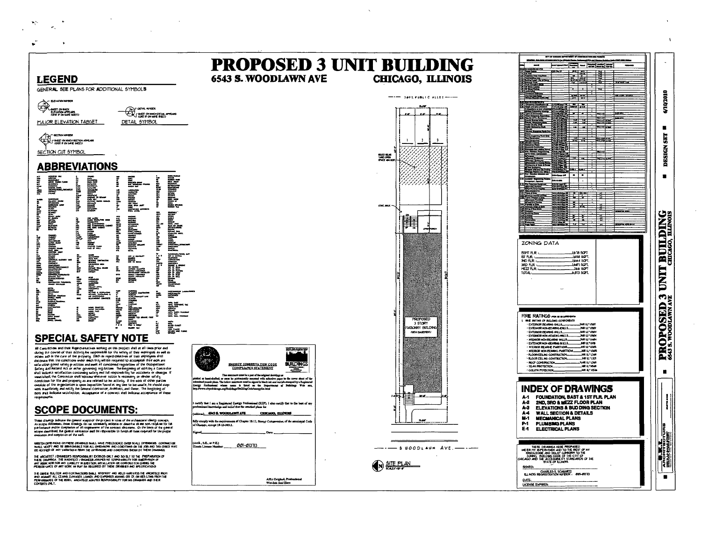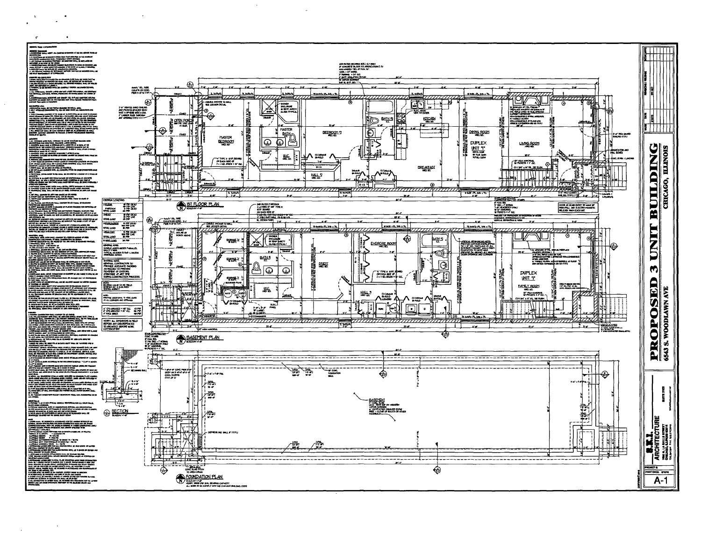

 $\sim 10^{11}$ 

 $\mathbf{r}$ 

**1999**<br>|<br>| *decay*<br>| discrete |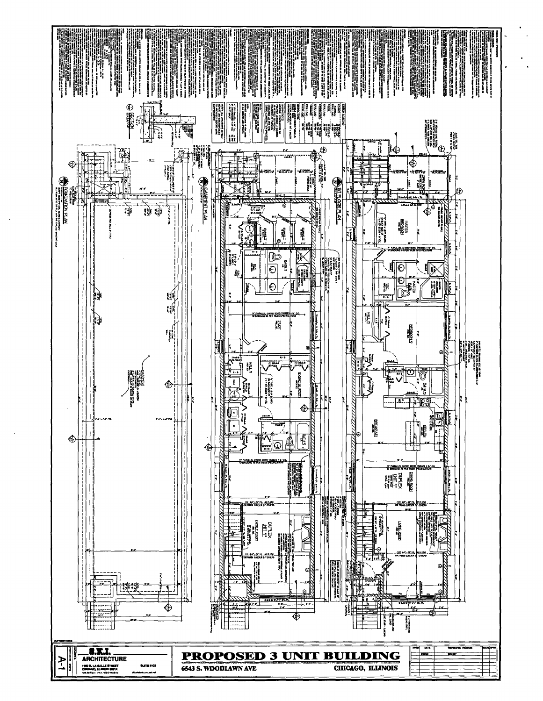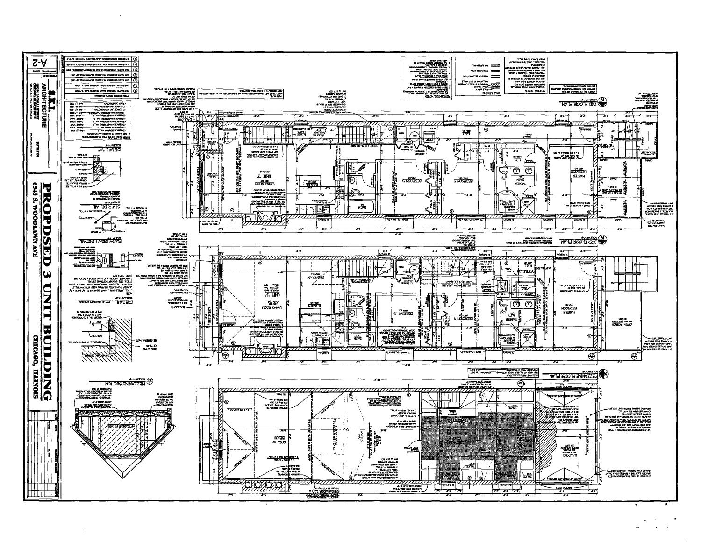